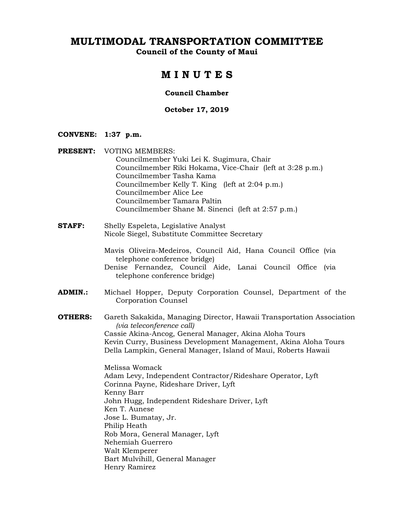**Council of the County of Maui** 

# **M I N U T E S**

### **Council Chamber**

# **October 17, 2019**

### **CONVENE: 1:37 p.m.**

Henry Ramirez

| <b>PRESENT:</b> | <b>VOTING MEMBERS:</b><br>Councilmember Yuki Lei K. Sugimura, Chair<br>Councilmember Riki Hokama, Vice-Chair (left at 3:28 p.m.)<br>Councilmember Tasha Kama<br>Councilmember Kelly T. King (left at 2:04 p.m.)<br>Councilmember Alice Lee<br>Councilmember Tamara Paltin<br>Councilmember Shane M. Sinenci (left at 2:57 p.m.) |
|-----------------|---------------------------------------------------------------------------------------------------------------------------------------------------------------------------------------------------------------------------------------------------------------------------------------------------------------------------------|
| <b>STAFF:</b>   | Shelly Espeleta, Legislative Analyst<br>Nicole Siegel, Substitute Committee Secretary                                                                                                                                                                                                                                           |
|                 | Mavis Oliveira-Medeiros, Council Aid, Hana Council Office (via<br>telephone conference bridge)<br>Denise Fernandez, Council Aide, Lanai Council Office (via<br>telephone conference bridge)                                                                                                                                     |
| <b>ADMIN.:</b>  | Michael Hopper, Deputy Corporation Counsel, Department of the<br>Corporation Counsel                                                                                                                                                                                                                                            |
| <b>OTHERS:</b>  | Gareth Sakakida, Managing Director, Hawaii Transportation Association<br>(via teleconference call)<br>Cassie Akina-Ancog, General Manager, Akina Aloha Tours<br>Kevin Curry, Business Development Management, Akina Aloha Tours<br>Della Lampkin, General Manager, Island of Maui, Roberts Hawaii                               |
|                 | Melissa Womack<br>Adam Levy, Independent Contractor/Rideshare Operator, Lyft<br>Corinna Payne, Rideshare Driver, Lyft<br>Kenny Barr<br>John Hugg, Independent Rideshare Driver, Lyft<br>Ken T. Aunese<br>Jose L. Bumatay, Jr.<br>Philip Heath<br>Rob Mora, General Manager, Lyft<br>Nehemiah Guerrero<br>Walt Klemperer         |
|                 | Bart Mulvihill, General Manager                                                                                                                                                                                                                                                                                                 |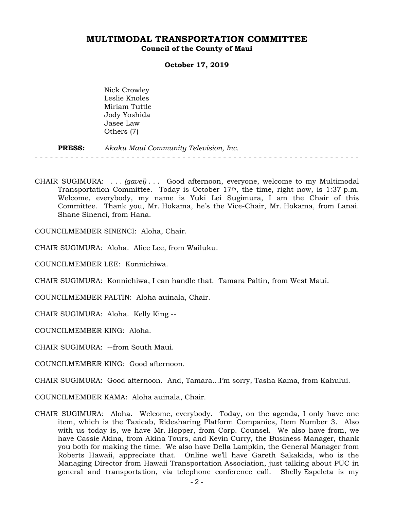**Council of the County of Maui** 

### **October 17, 2019**

 Nick Crowley Leslie Knoles Miriam Tuttle Jody Yoshida Jasee Law Others (7)

#### **PRESS:** *Akaku Maui Community Television, Inc.*  - - - - - - - - - - - - - - - - - - - - - - - - - - - - - - - - - - - - - - - - - - - - - - - - - - - - - - - - - - - - - - - -

CHAIR SUGIMURA: . . . *(gavel)* . . . Good afternoon, everyone, welcome to my Multimodal Transportation Committee. Today is October  $17<sup>th</sup>$ , the time, right now, is 1:37 p.m. Welcome, everybody, my name is Yuki Lei Sugimura, I am the Chair of this Committee. Thank you, Mr. Hokama, he's the Vice-Chair, Mr. Hokama, from Lanai. Shane Sinenci, from Hana.

COUNCILMEMBER SINENCI: Aloha, Chair.

CHAIR SUGIMURA: Aloha. Alice Lee, from Wailuku.

COUNCILMEMBER LEE: Konnichiwa.

CHAIR SUGIMURA: Konnichiwa, I can handle that. Tamara Paltin, from West Maui.

COUNCILMEMBER PALTIN: Aloha auinala, Chair.

CHAIR SUGIMURA: Aloha. Kelly King --

COUNCILMEMBER KING: Aloha.

CHAIR SUGIMURA: --from South Maui.

COUNCILMEMBER KING: Good afternoon.

CHAIR SUGIMURA: Good afternoon. And, Tamara…I'm sorry, Tasha Kama, from Kahului.

COUNCILMEMBER KAMA: Aloha auinala, Chair.

CHAIR SUGIMURA: Aloha. Welcome, everybody. Today, on the agenda, I only have one item, which is the Taxicab, Ridesharing Platform Companies, Item Number 3. Also with us today is, we have Mr. Hopper, from Corp. Counsel. We also have from, we have Cassie Akina, from Akina Tours, and Kevin Curry, the Business Manager, thank you both for making the time. We also have Della Lampkin, the General Manager from Roberts Hawaii, appreciate that. Online we'll have Gareth Sakakida, who is the Managing Director from Hawaii Transportation Association, just talking about PUC in general and transportation, via telephone conference call. Shelly Espeleta is my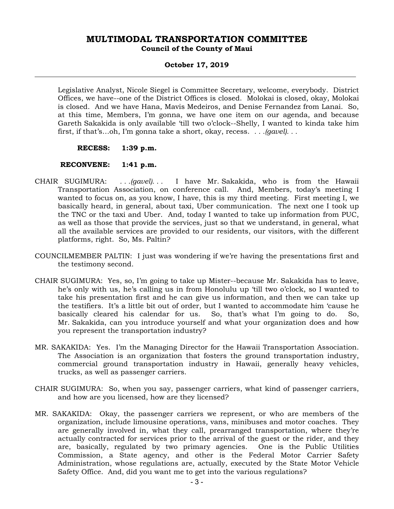### **October 17, 2019**

Legislative Analyst, Nicole Siegel is Committee Secretary, welcome, everybody. District Offices, we have--one of the District Offices is closed. Molokai is closed, okay, Molokai is closed. And we have Hana, Mavis Medeiros, and Denise Fernandez from Lanai. So, at this time, Members, I'm gonna, we have one item on our agenda, and because Gareth Sakakida is only available 'till two o'clock--Shelly, I wanted to kinda take him first, if that's…oh, I'm gonna take a short, okay, recess. *. . .(gavel). . .* 

 **RECESS: 1:39 p.m.** 

 **RECONVENE: 1:41 p.m.** 

- CHAIR SUGIMURA: *. . .(gavel). . .* I have Mr. Sakakida, who is from the Hawaii Transportation Association, on conference call. And, Members, today's meeting I wanted to focus on, as you know, I have, this is my third meeting. First meeting I, we basically heard, in general, about taxi, Uber communication. The next one I took up the TNC or the taxi and Uber. And, today I wanted to take up information from PUC, as well as those that provide the services, just so that we understand, in general, what all the available services are provided to our residents, our visitors, with the different platforms, right. So, Ms. Paltin?
- COUNCILMEMBER PALTIN: I just was wondering if we're having the presentations first and the testimony second.
- CHAIR SUGIMURA: Yes, so, I'm going to take up Mister--because Mr. Sakakida has to leave, he's only with us, he's calling us in from Honolulu up 'till two o'clock, so I wanted to take his presentation first and he can give us information, and then we can take up the testifiers. It's a little bit out of order, but I wanted to accommodate him 'cause he basically cleared his calendar for us. So, that's what I'm going to do. So, Mr. Sakakida, can you introduce yourself and what your organization does and how you represent the transportation industry?
- MR. SAKAKIDA: Yes. I'm the Managing Director for the Hawaii Transportation Association. The Association is an organization that fosters the ground transportation industry, commercial ground transportation industry in Hawaii, generally heavy vehicles, trucks, as well as passenger carriers.
- CHAIR SUGIMURA: So, when you say, passenger carriers, what kind of passenger carriers, and how are you licensed, how are they licensed?
- MR. SAKAKIDA: Okay, the passenger carriers we represent, or who are members of the organization, include limousine operations, vans, minibuses and motor coaches. They are generally involved in, what they call, prearranged transportation, where they're actually contracted for services prior to the arrival of the guest or the rider, and they are, basically, regulated by two primary agencies. One is the Public Utilities Commission, a State agency, and other is the Federal Motor Carrier Safety Administration, whose regulations are, actually, executed by the State Motor Vehicle Safety Office. And, did you want me to get into the various regulations?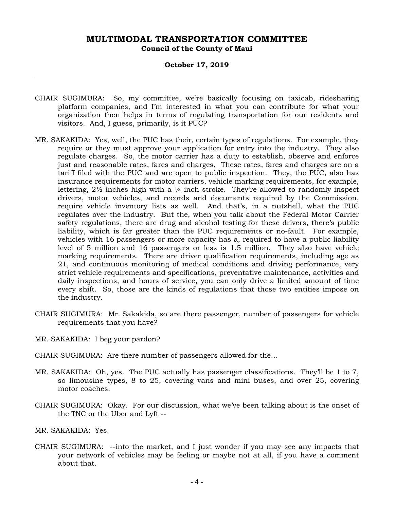### **October 17, 2019**

- CHAIR SUGIMURA: So, my committee, we're basically focusing on taxicab, ridesharing platform companies, and I'm interested in what you can contribute for what your organization then helps in terms of regulating transportation for our residents and visitors. And, I guess, primarily, is it PUC?
- MR. SAKAKIDA: Yes, well, the PUC has their, certain types of regulations. For example, they require or they must approve your application for entry into the industry. They also regulate charges. So, the motor carrier has a duty to establish, observe and enforce just and reasonable rates, fares and charges. These rates, fares and charges are on a tariff filed with the PUC and are open to public inspection. They, the PUC, also has insurance requirements for motor carriers, vehicle marking requirements, for example, lettering,  $2\frac{1}{2}$  inches high with a  $\frac{1}{4}$  inch stroke. They're allowed to randomly inspect drivers, motor vehicles, and records and documents required by the Commission, require vehicle inventory lists as well. And that's, in a nutshell, what the PUC regulates over the industry. But the, when you talk about the Federal Motor Carrier safety regulations, there are drug and alcohol testing for these drivers, there's public liability, which is far greater than the PUC requirements or no-fault. For example, vehicles with 16 passengers or more capacity has a, required to have a public liability level of 5 million and 16 passengers or less is 1.5 million. They also have vehicle marking requirements. There are driver qualification requirements, including age as 21, and continuous monitoring of medical conditions and driving performance, very strict vehicle requirements and specifications, preventative maintenance, activities and daily inspections, and hours of service, you can only drive a limited amount of time every shift. So, those are the kinds of regulations that those two entities impose on the industry.
- CHAIR SUGIMURA: Mr. Sakakida, so are there passenger, number of passengers for vehicle requirements that you have?
- MR. SAKAKIDA: I beg your pardon?
- CHAIR SUGIMURA: Are there number of passengers allowed for the…
- MR. SAKAKIDA: Oh, yes. The PUC actually has passenger classifications. They'll be 1 to 7, so limousine types, 8 to 25, covering vans and mini buses, and over 25, covering motor coaches.
- CHAIR SUGIMURA: Okay. For our discussion, what we've been talking about is the onset of the TNC or the Uber and Lyft --
- MR. SAKAKIDA: Yes.
- CHAIR SUGIMURA: --into the market, and I just wonder if you may see any impacts that your network of vehicles may be feeling or maybe not at all, if you have a comment about that.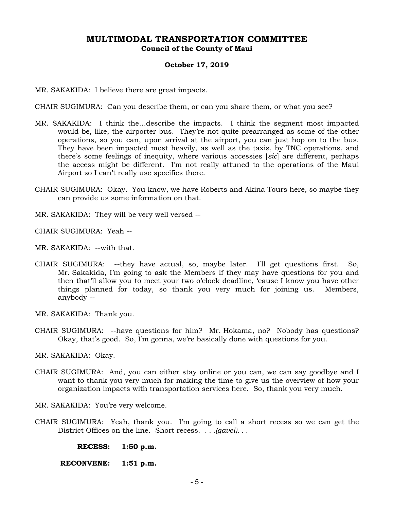### **October 17, 2019**

MR. SAKAKIDA: I believe there are great impacts.

CHAIR SUGIMURA: Can you describe them, or can you share them, or what you see?

- MR. SAKAKIDA: I think the…describe the impacts. I think the segment most impacted would be, like, the airporter bus. They're not quite prearranged as some of the other operations, so you can, upon arrival at the airport, you can just hop on to the bus. They have been impacted most heavily, as well as the taxis, by TNC operations, and there's some feelings of inequity, where various accessies [*sic*] are different, perhaps the access might be different. I'm not really attuned to the operations of the Maui Airport so I can't really use specifics there.
- CHAIR SUGIMURA: Okay. You know, we have Roberts and Akina Tours here, so maybe they can provide us some information on that.
- MR. SAKAKIDA: They will be very well versed --

CHAIR SUGIMURA: Yeah --

MR. SAKAKIDA: --with that.

CHAIR SUGIMURA: --they have actual, so, maybe later. I'll get questions first. So, Mr. Sakakida, I'm going to ask the Members if they may have questions for you and then that'll allow you to meet your two o'clock deadline, 'cause I know you have other things planned for today, so thank you very much for joining us. Members, anybody --

MR. SAKAKIDA: Thank you.

CHAIR SUGIMURA: --have questions for him? Mr. Hokama, no? Nobody has questions? Okay, that's good. So, I'm gonna, we're basically done with questions for you.

MR. SAKAKIDA: Okay.

- CHAIR SUGIMURA: And, you can either stay online or you can, we can say goodbye and I want to thank you very much for making the time to give us the overview of how your organization impacts with transportation services here. So, thank you very much.
- MR. SAKAKIDA: You're very welcome.
- CHAIR SUGIMURA: Yeah, thank you. I'm going to call a short recess so we can get the District Offices on the line. Short recess. *. . .(gavel). . .*

 **RECESS: 1:50 p.m.** 

 **RECONVENE: 1:51 p.m.**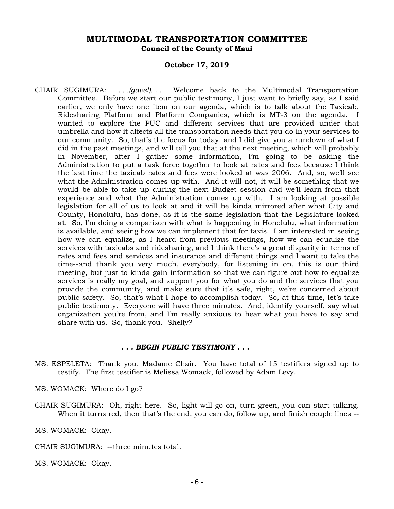### **October 17, 2019**

CHAIR SUGIMURA: *. . .(gavel). . .* Welcome back to the Multimodal Transportation Committee. Before we start our public testimony, I just want to briefly say, as I said earlier, we only have one item on our agenda, which is to talk about the Taxicab, Ridesharing Platform and Platform Companies, which is MT-3 on the agenda. I wanted to explore the PUC and different services that are provided under that umbrella and how it affects all the transportation needs that you do in your services to our community. So, that's the focus for today. and I did give you a rundown of what I did in the past meetings, and will tell you that at the next meeting, which will probably in November, after I gather some information, I'm going to be asking the Administration to put a task force together to look at rates and fees because I think the last time the taxicab rates and fees were looked at was 2006. And, so, we'll see what the Administration comes up with. And it will not, it will be something that we would be able to take up during the next Budget session and we'll learn from that experience and what the Administration comes up with. I am looking at possible legislation for all of us to look at and it will be kinda mirrored after what City and County, Honolulu, has done, as it is the same legislation that the Legislature looked at. So, I'm doing a comparison with what is happening in Honolulu, what information is available, and seeing how we can implement that for taxis. I am interested in seeing how we can equalize, as I heard from previous meetings, how we can equalize the services with taxicabs and ridesharing, and I think there's a great disparity in terms of rates and fees and services and insurance and different things and I want to take the time--and thank you very much, everybody, for listening in on, this is our third meeting, but just to kinda gain information so that we can figure out how to equalize services is really my goal, and support you for what you do and the services that you provide the community, and make sure that it's safe, right, we're concerned about public safety. So, that's what I hope to accomplish today. So, at this time, let's take public testimony. Everyone will have three minutes. And, identify yourself, say what organization you're from, and I'm really anxious to hear what you have to say and share with us. So, thank you. Shelly?

### *. . . BEGIN PUBLIC TESTIMONY . . .*

- MS. ESPELETA: Thank you, Madame Chair. You have total of 15 testifiers signed up to testify. The first testifier is Melissa Womack, followed by Adam Levy.
- MS. WOMACK: Where do I go?
- CHAIR SUGIMURA: Oh, right here. So, light will go on, turn green, you can start talking. When it turns red, then that's the end, you can do, follow up, and finish couple lines --

MS. WOMACK: Okay.

CHAIR SUGIMURA: --three minutes total.

MS. WOMACK: Okay.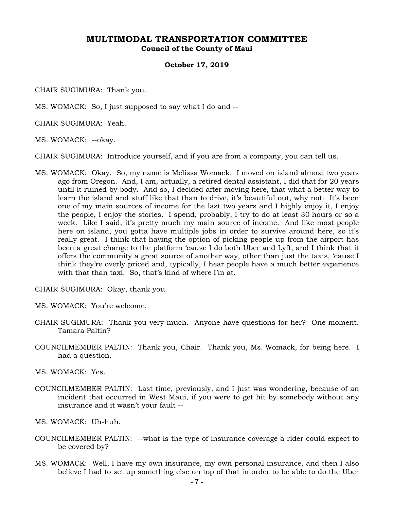**Council of the County of Maui** 

### **October 17, 2019**

CHAIR SUGIMURA: Thank you.

MS. WOMACK: So, I just supposed to say what I do and --

CHAIR SUGIMURA: Yeah.

MS. WOMACK: --okay.

CHAIR SUGIMURA: Introduce yourself, and if you are from a company, you can tell us.

MS. WOMACK: Okay. So, my name is Melissa Womack. I moved on island almost two years ago from Oregon. And, I am, actually, a retired dental assistant, I did that for 20 years until it ruined by body. And so, I decided after moving here, that what a better way to learn the island and stuff like that than to drive, it's beautiful out, why not. It's been one of my main sources of income for the last two years and I highly enjoy it, I enjoy the people, I enjoy the stories. I spend, probably, I try to do at least 30 hours or so a week. Like I said, it's pretty much my main source of income. And like most people here on island, you gotta have multiple jobs in order to survive around here, so it's really great. I think that having the option of picking people up from the airport has been a great change to the platform 'cause I do both Uber and Lyft, and I think that it offers the community a great source of another way, other than just the taxis, 'cause I think they're overly priced and, typically, I hear people have a much better experience with that than taxi. So, that's kind of where I'm at.

CHAIR SUGIMURA: Okay, thank you.

- MS. WOMACK: You're welcome.
- CHAIR SUGIMURA: Thank you very much. Anyone have questions for her? One moment. Tamara Paltin?
- COUNCILMEMBER PALTIN: Thank you, Chair. Thank you, Ms. Womack, for being here. I had a question.

MS. WOMACK: Yes.

COUNCILMEMBER PALTIN: Last time, previously, and I just was wondering, because of an incident that occurred in West Maui, if you were to get hit by somebody without any insurance and it wasn't your fault --

MS. WOMACK: Uh-huh.

- COUNCILMEMBER PALTIN: --what is the type of insurance coverage a rider could expect to be covered by?
- MS. WOMACK: Well, I have my own insurance, my own personal insurance, and then I also believe I had to set up something else on top of that in order to be able to do the Uber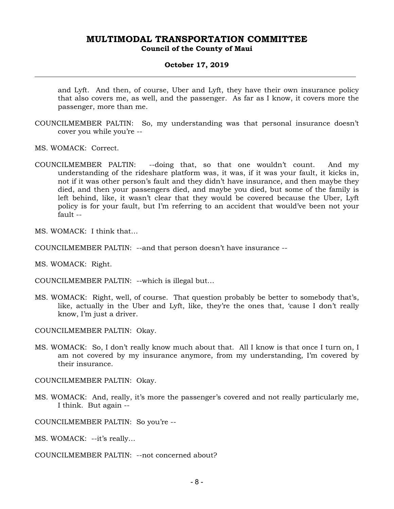### **October 17, 2019**

and Lyft. And then, of course, Uber and Lyft, they have their own insurance policy that also covers me, as well, and the passenger. As far as I know, it covers more the passenger, more than me.

- COUNCILMEMBER PALTIN: So, my understanding was that personal insurance doesn't cover you while you're --
- MS. WOMACK: Correct.
- COUNCILMEMBER PALTIN: --doing that, so that one wouldn't count. And my understanding of the rideshare platform was, it was, if it was your fault, it kicks in, not if it was other person's fault and they didn't have insurance, and then maybe they died, and then your passengers died, and maybe you died, but some of the family is left behind, like, it wasn't clear that they would be covered because the Uber, Lyft policy is for your fault, but I'm referring to an accident that would've been not your  $fall - -$

MS. WOMACK: I think that…

COUNCILMEMBER PALTIN: --and that person doesn't have insurance --

MS. WOMACK: Right.

COUNCILMEMBER PALTIN: --which is illegal but…

MS. WOMACK: Right, well, of course. That question probably be better to somebody that's, like, actually in the Uber and Lyft, like, they're the ones that, 'cause I don't really know, I'm just a driver.

COUNCILMEMBER PALTIN: Okay.

MS. WOMACK: So, I don't really know much about that. All I know is that once I turn on, I am not covered by my insurance anymore, from my understanding, I'm covered by their insurance.

COUNCILMEMBER PALTIN: Okay.

MS. WOMACK: And, really, it's more the passenger's covered and not really particularly me, I think. But again --

COUNCILMEMBER PALTIN: So you're --

MS. WOMACK: --it's really…

COUNCILMEMBER PALTIN: --not concerned about?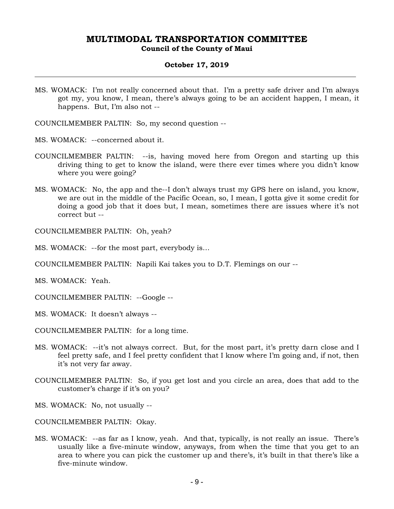**Council of the County of Maui** 

### **October 17, 2019**

MS. WOMACK: I'm not really concerned about that. I'm a pretty safe driver and I'm always got my, you know, I mean, there's always going to be an accident happen, I mean, it happens. But, I'm also not --

COUNCILMEMBER PALTIN: So, my second question --

- MS. WOMACK: --concerned about it.
- COUNCILMEMBER PALTIN: --is, having moved here from Oregon and starting up this driving thing to get to know the island, were there ever times where you didn't know where you were going?
- MS. WOMACK: No, the app and the--I don't always trust my GPS here on island, you know, we are out in the middle of the Pacific Ocean, so, I mean, I gotta give it some credit for doing a good job that it does but, I mean, sometimes there are issues where it's not correct but --

COUNCILMEMBER PALTIN: Oh, yeah?

MS. WOMACK: --for the most part, everybody is…

COUNCILMEMBER PALTIN: Napili Kai takes you to D.T. Flemings on our --

MS. WOMACK: Yeah.

COUNCILMEMBER PALTIN: --Google --

MS. WOMACK: It doesn't always --

COUNCILMEMBER PALTIN: for a long time.

- MS. WOMACK: --it's not always correct. But, for the most part, it's pretty darn close and I feel pretty safe, and I feel pretty confident that I know where I'm going and, if not, then it's not very far away.
- COUNCILMEMBER PALTIN: So, if you get lost and you circle an area, does that add to the customer's charge if it's on you?
- MS. WOMACK: No, not usually --
- COUNCILMEMBER PALTIN: Okay.
- MS. WOMACK: --as far as I know, yeah. And that, typically, is not really an issue. There's usually like a five-minute window, anyways, from when the time that you get to an area to where you can pick the customer up and there's, it's built in that there's like a five-minute window.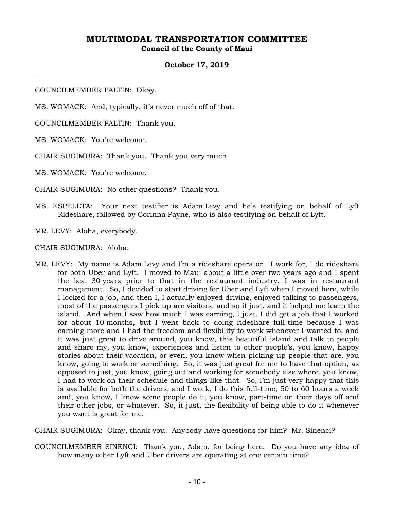**Council of the County of Maui** 

### **October 17, 2019**

COUNCILMEMBER PALTIN: Okay.

MS. WOMACK: And, typically, it's never much off of that.

COUNCILMEMBER PALTIN: Thank you.

MS. WOMACK: You're welcome.

CHAIR SUGIMURA: Thank you. Thank you very much.

MS. WOMACK: You're welcome.

CHAIR SUGIMURA: No other questions? Thank you.

MS. ESPELETA: Your next testifier is Adam Levy and he's testifying on behalf of Lyft Rideshare, followed by Corinna Payne, who is also testifying on behalf of Lyft.

MR. LEVY: Aloha, everybody.

CHAIR SUGIMURA: Aloha.

MR. LEVY: My name is Adam Levy and I'm a rideshare operator. I work for, I do rideshare for both Uber and Lyft. I moved to Maui about a little over two years ago and I spent the last 30 years prior to that in the restaurant industry, I was in restaurant management. So, I decided to start driving for Uber and Lyft when I moved here, while I looked for a job, and then I, I actually enjoyed driving, enjoyed talking to passengers, most of the passengers I pick up are visitors, and so it just, and it helped me learn the island. And when I saw how much I was earning, I just, I did get a job that I worked for about 10 months, but I went back to doing rideshare full-time because I was earning more and I had the freedom and flexibility to work whenever I wanted to, and it was just great to drive around, you know, this beautiful island and talk to people and share my, you know, experiences and listen to other people's, you know, happy stories about their vacation, or even, you know when picking up people that are, you know, going to work or something. So, it was just great for me to have that option, as opposed to just, you know, going out and working for somebody else where. you know, I had to work on their schedule and things like that. So, I'm just very happy that this is available for both the drivers, and I work, I do this full-time, 50 to 60 hours a week and, you know, I know some people do it, you know, part-time on their days off and their other jobs, or whatever. So, it just, the flexibility of being able to do it whenever you want is great for me.

CHAIR SUGIMURA: Okay, thank you. Anybody have questions for him? Mr. Sinenci?

COUNCILMEMBER SINENCI: Thank you, Adam, for being here. Do you have any idea of how many other Lyft and Uber drivers are operating at one certain time?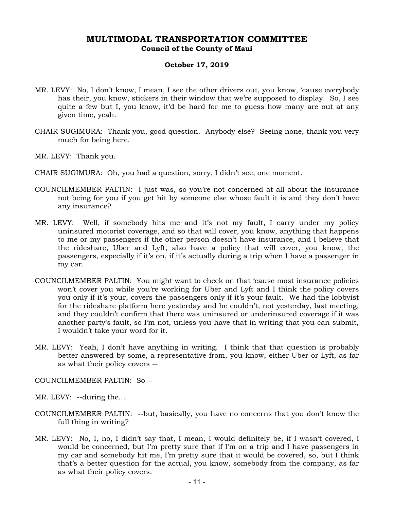# **Council of the County of Maui**

### **October 17, 2019**

- MR. LEVY: No, I don't know, I mean, I see the other drivers out, you know, 'cause everybody has their, you know, stickers in their window that we're supposed to display. So, I see quite a few but I, you know, it'd be hard for me to guess how many are out at any given time, yeah.
- CHAIR SUGIMURA: Thank you, good question. Anybody else? Seeing none, thank you very much for being here.
- MR. LEVY: Thank you.
- CHAIR SUGIMURA: Oh, you had a question, sorry, I didn't see, one moment.
- COUNCILMEMBER PALTIN: I just was, so you're not concerned at all about the insurance not being for you if you get hit by someone else whose fault it is and they don't have any insurance?
- MR. LEVY: Well, if somebody hits me and it's not my fault, I carry under my policy uninsured motorist coverage, and so that will cover, you know, anything that happens to me or my passengers if the other person doesn't have insurance, and I believe that the rideshare, Uber and Lyft, also have a policy that will cover, you know, the passengers, especially if it's on, if it's actually during a trip when I have a passenger in my car.
- COUNCILMEMBER PALTIN: You might want to check on that 'cause most insurance policies won't cover you while you're working for Uber and Lyft and I think the policy covers you only if it's your, covers the passengers only if it's your fault. We had the lobbyist for the rideshare platform here yesterday and he couldn't, not yesterday, last meeting, and they couldn't confirm that there was uninsured or underinsured coverage if it was another party's fault, so I'm not, unless you have that in writing that you can submit, I wouldn't take your word for it.
- MR. LEVY: Yeah, I don't have anything in writing. I think that that question is probably better answered by some, a representative from, you know, either Uber or Lyft, as far as what their policy covers --
- COUNCILMEMBER PALTIN: So --
- MR. LEVY: --during the…
- COUNCILMEMBER PALTIN: --but, basically, you have no concerns that you don't know the full thing in writing?
- MR. LEVY: No, I, no, I didn't say that, I mean, I would definitely be, if I wasn't covered, I would be concerned, but I'm pretty sure that if I'm on a trip and I have passengers in my car and somebody hit me, I'm pretty sure that it would be covered, so, but I think that's a better question for the actual, you know, somebody from the company, as far as what their policy covers.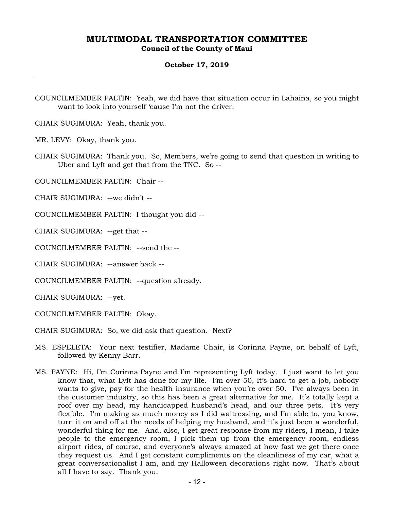**Council of the County of Maui** 

### **October 17, 2019**

COUNCILMEMBER PALTIN: Yeah, we did have that situation occur in Lahaina, so you might want to look into yourself 'cause I'm not the driver.

CHAIR SUGIMURA: Yeah, thank you.

MR. LEVY: Okay, thank you.

CHAIR SUGIMURA: Thank you. So, Members, we're going to send that question in writing to Uber and Lyft and get that from the TNC. So --

COUNCILMEMBER PALTIN: Chair --

CHAIR SUGIMURA: --we didn't --

COUNCILMEMBER PALTIN: I thought you did --

CHAIR SUGIMURA: --get that --

COUNCILMEMBER PALTIN: --send the --

CHAIR SUGIMURA: --answer back --

COUNCILMEMBER PALTIN: --question already.

CHAIR SUGIMURA: --yet.

COUNCILMEMBER PALTIN: Okay.

CHAIR SUGIMURA: So, we did ask that question. Next?

- MS. ESPELETA: Your next testifier, Madame Chair, is Corinna Payne, on behalf of Lyft, followed by Kenny Barr.
- MS. PAYNE: Hi, I'm Corinna Payne and I'm representing Lyft today. I just want to let you know that, what Lyft has done for my life. I'm over 50, it's hard to get a job, nobody wants to give, pay for the health insurance when you're over 50. I've always been in the customer industry, so this has been a great alternative for me. It's totally kept a roof over my head, my handicapped husband's head, and our three pets. It's very flexible. I'm making as much money as I did waitressing, and I'm able to, you know, turn it on and off at the needs of helping my husband, and it's just been a wonderful, wonderful thing for me. And, also, I get great response from my riders, I mean, I take people to the emergency room, I pick them up from the emergency room, endless airport rides, of course, and everyone's always amazed at how fast we get there once they request us. And I get constant compliments on the cleanliness of my car, what a great conversationalist I am, and my Halloween decorations right now. That's about all I have to say. Thank you.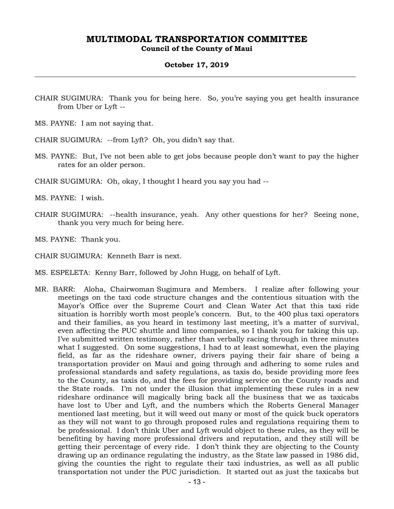**Council of the County of Maui** 

### **October 17, 2019**

- CHAIR SUGIMURA: Thank you for being here. So, you're saying you get health insurance from Uber or Lyft --
- MS. PAYNE: I am not saying that.

CHAIR SUGIMURA: --from Lyft? Oh, you didn't say that.

- MS. PAYNE: But, I've not been able to get jobs because people don't want to pay the higher rates for an older person.
- CHAIR SUGIMURA: Oh, okay, I thought I heard you say you had --

MS. PAYNE: I wish.

- CHAIR SUGIMURA: --health insurance, yeah. Any other questions for her? Seeing none, thank you very much for being here.
- MS. PAYNE: Thank you.

CHAIR SUGIMURA: Kenneth Barr is next.

- MS. ESPELETA: Kenny Barr, followed by John Hugg, on behalf of Lyft.
- MR. BARR: Aloha, Chairwoman Sugimura and Members. I realize after following your meetings on the taxi code structure changes and the contentious situation with the Mayor's Office over the Supreme Court and Clean Water Act that this taxi ride situation is horribly worth most people's concern. But, to the 400 plus taxi operators and their families, as you heard in testimony last meeting, it's a matter of survival, even affecting the PUC shuttle and limo companies, so I thank you for taking this up. I've submitted written testimony, rather than verbally racing through in three minutes what I suggested. On some suggestions, I had to at least somewhat, even the playing field, as far as the rideshare owner, drivers paying their fair share of being a transportation provider on Maui and going through and adhering to some rules and professional standards and safety regulations, as taxis do, beside providing more fees to the County, as taxis do, and the fees for providing service on the County roads and the State roads. I'm not under the illusion that implementing these rules in a new rideshare ordinance will magically bring back all the business that we as taxicabs have lost to Uber and Lyft, and the numbers which the Roberts General Manager mentioned last meeting, but it will weed out many or most of the quick buck operators as they will not want to go through proposed rules and regulations requiring them to be professional. I don't think Uber and Lyft would object to these rules, as they will be benefiting by having more professional drivers and reputation, and they still will be getting their percentage of every ride. I don't think they are objecting to the County drawing up an ordinance regulating the industry, as the State law passed in 1986 did, giving the counties the right to regulate their taxi industries, as well as all public transportation not under the PUC jurisdiction. It started out as just the taxicabs but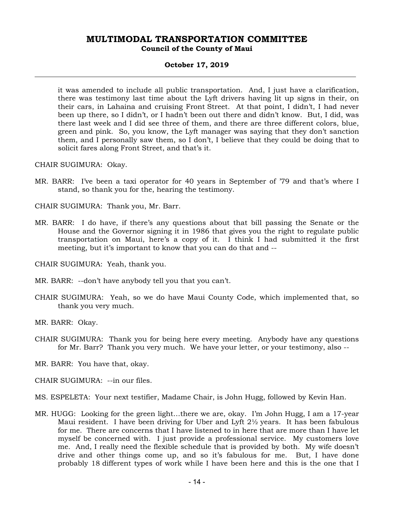**Council of the County of Maui** 

### **October 17, 2019**

it was amended to include all public transportation. And, I just have a clarification, there was testimony last time about the Lyft drivers having lit up signs in their, on their cars, in Lahaina and cruising Front Street. At that point, I didn't, I had never been up there, so I didn't, or I hadn't been out there and didn't know. But, I did, was there last week and I did see three of them, and there are three different colors, blue, green and pink. So, you know, the Lyft manager was saying that they don't sanction them, and I personally saw them, so I don't, I believe that they could be doing that to solicit fares along Front Street, and that's it.

CHAIR SUGIMURA: Okay.

MR. BARR: I've been a taxi operator for 40 years in September of '79 and that's where I stand, so thank you for the, hearing the testimony.

CHAIR SUGIMURA: Thank you, Mr. Barr.

MR. BARR: I do have, if there's any questions about that bill passing the Senate or the House and the Governor signing it in 1986 that gives you the right to regulate public transportation on Maui, here's a copy of it. I think I had submitted it the first meeting, but it's important to know that you can do that and --

CHAIR SUGIMURA: Yeah, thank you.

MR. BARR: --don't have anybody tell you that you can't.

CHAIR SUGIMURA: Yeah, so we do have Maui County Code, which implemented that, so thank you very much.

MR. BARR: Okay.

CHAIR SUGIMURA: Thank you for being here every meeting. Anybody have any questions for Mr. Barr? Thank you very much. We have your letter, or your testimony, also --

MR. BARR: You have that, okay.

CHAIR SUGIMURA: --in our files.

MS. ESPELETA: Your next testifier, Madame Chair, is John Hugg, followed by Kevin Han.

MR. HUGG: Looking for the green light…there we are, okay. I'm John Hugg, I am a 17-year Maui resident. I have been driving for Uber and Lyft  $2\frac{1}{2}$  years. It has been fabulous for me. There are concerns that I have listened to in here that are more than I have let myself be concerned with. I just provide a professional service. My customers love me. And, I really need the flexible schedule that is provided by both. My wife doesn't drive and other things come up, and so it's fabulous for me. But, I have done probably 18 different types of work while I have been here and this is the one that I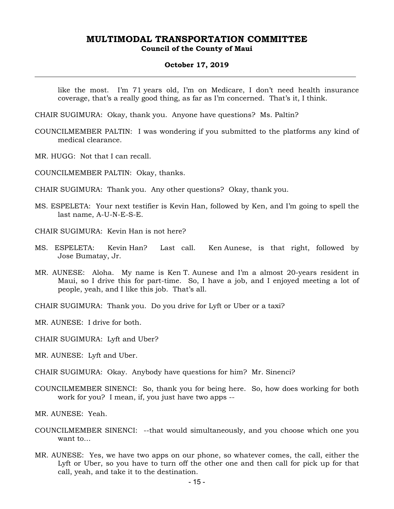#### **October 17, 2019**

like the most. I'm 71 years old, I'm on Medicare, I don't need health insurance coverage, that's a really good thing, as far as I'm concerned. That's it, I think.

CHAIR SUGIMURA: Okay, thank you. Anyone have questions? Ms. Paltin?

- COUNCILMEMBER PALTIN: I was wondering if you submitted to the platforms any kind of medical clearance.
- MR. HUGG: Not that I can recall.

COUNCILMEMBER PALTIN: Okay, thanks.

CHAIR SUGIMURA: Thank you. Any other questions? Okay, thank you.

- MS. ESPELETA: Your next testifier is Kevin Han, followed by Ken, and I'm going to spell the last name, A-U-N-E-S-E.
- CHAIR SUGIMURA: Kevin Han is not here?
- MS. ESPELETA: Kevin Han? Last call. Ken Aunese, is that right, followed by Jose Bumatay, Jr.
- MR. AUNESE: Aloha. My name is Ken T. Aunese and I'm a almost 20-years resident in Maui, so I drive this for part-time. So, I have a job, and I enjoyed meeting a lot of people, yeah, and I like this job. That's all.

CHAIR SUGIMURA: Thank you. Do you drive for Lyft or Uber or a taxi?

MR. AUNESE: I drive for both.

CHAIR SUGIMURA: Lyft and Uber?

MR. AUNESE: Lyft and Uber.

CHAIR SUGIMURA: Okay. Anybody have questions for him? Mr. Sinenci?

COUNCILMEMBER SINENCI: So, thank you for being here. So, how does working for both work for you? I mean, if, you just have two apps --

MR. AUNESE: Yeah.

- COUNCILMEMBER SINENCI: --that would simultaneously, and you choose which one you want to…
- MR. AUNESE: Yes, we have two apps on our phone, so whatever comes, the call, either the Lyft or Uber, so you have to turn off the other one and then call for pick up for that call, yeah, and take it to the destination.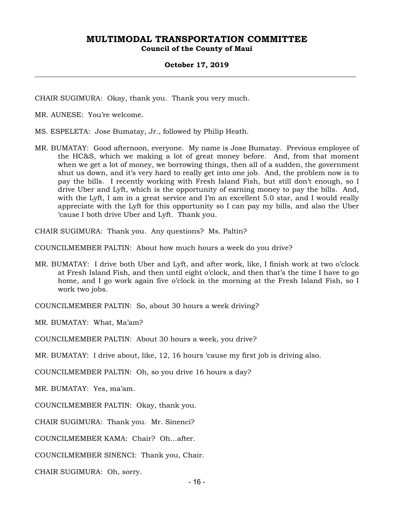**Council of the County of Maui** 

### **October 17, 2019**

CHAIR SUGIMURA: Okay, thank you. Thank you very much.

MR. AUNESE: You're welcome.

MS. ESPELETA: Jose Bumatay, Jr., followed by Philip Heath.

MR. BUMATAY: Good afternoon, everyone. My name is Jose Bumatay. Previous employee of the HC&S, which we making a lot of great money before. And, from that moment when we get a lot of money, we borrowing things, then all of a sudden, the government shut us down, and it's very hard to really get into one job. And, the problem now is to pay the bills. I recently working with Fresh Island Fish, but still don't enough, so I drive Uber and Lyft, which is the opportunity of earning money to pay the bills. And, with the Lyft, I am in a great service and I'm an excellent 5.0 star, and I would really appreciate with the Lyft for this opportunity so I can pay my bills, and also the Uber 'cause I both drive Uber and Lyft. Thank you.

CHAIR SUGIMURA: Thank you. Any questions? Ms. Paltin?

COUNCILMEMBER PALTIN: About how much hours a week do you drive?

MR. BUMATAY: I drive both Uber and Lyft, and after work, like, I finish work at two o'clock at Fresh Island Fish, and then until eight o'clock, and then that's the time I have to go home, and I go work again five o'clock in the morning at the Fresh Island Fish, so I work two jobs.

COUNCILMEMBER PALTIN: So, about 30 hours a week driving?

MR. BUMATAY: What, Ma'am?

COUNCILMEMBER PALTIN: About 30 hours a week, you drive?

MR. BUMATAY: I drive about, like, 12, 16 hours 'cause my first job is driving also.

COUNCILMEMBER PALTIN: Oh, so you drive 16 hours a day?

MR. BUMATAY: Yes, ma'am.

COUNCILMEMBER PALTIN: Okay, thank you.

CHAIR SUGIMURA: Thank you. Mr. Sinenci?

COUNCILMEMBER KAMA: Chair? Oh…after.

COUNCILMEMBER SINENCI: Thank you, Chair.

CHAIR SUGIMURA: Oh, sorry.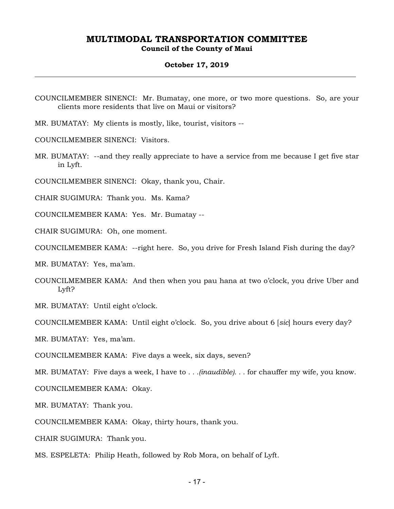**Council of the County of Maui** 

### **October 17, 2019**

COUNCILMEMBER SINENCI: Mr. Bumatay, one more, or two more questions. So, are your clients more residents that live on Maui or visitors?

MR. BUMATAY: My clients is mostly, like, tourist, visitors --

COUNCILMEMBER SINENCI: Visitors.

MR. BUMATAY: --and they really appreciate to have a service from me because I get five star in Lyft.

COUNCILMEMBER SINENCI: Okay, thank you, Chair.

CHAIR SUGIMURA: Thank you. Ms. Kama?

COUNCILMEMBER KAMA: Yes. Mr. Bumatay --

CHAIR SUGIMURA: Oh, one moment.

COUNCILMEMBER KAMA: --right here. So, you drive for Fresh Island Fish during the day?

MR. BUMATAY: Yes, ma'am.

COUNCILMEMBER KAMA: And then when you pau hana at two o'clock, you drive Uber and Lyft?

MR. BUMATAY: Until eight o'clock.

COUNCILMEMBER KAMA: Until eight o'clock. So, you drive about 6 [*sic*] hours every day?

MR. BUMATAY: Yes, ma'am.

COUNCILMEMBER KAMA: Five days a week, six days, seven?

MR. BUMATAY: Five days a week, I have to *. . .(inaudible). . .* for chauffer my wife, you know.

COUNCILMEMBER KAMA: Okay.

MR. BUMATAY: Thank you.

COUNCILMEMBER KAMA: Okay, thirty hours, thank you.

CHAIR SUGIMURA: Thank you.

MS. ESPELETA: Philip Heath, followed by Rob Mora, on behalf of Lyft.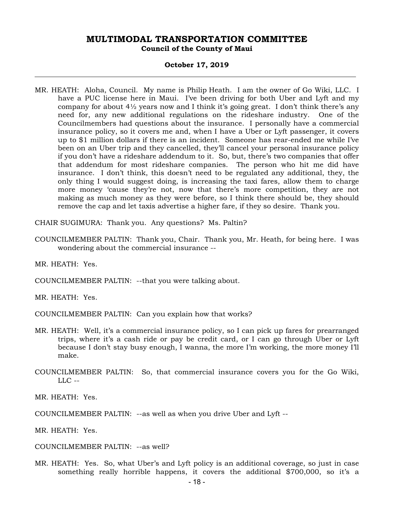#### **October 17, 2019**

MR. HEATH: Aloha, Council. My name is Philip Heath. I am the owner of Go Wiki, LLC. I have a PUC license here in Maui. I've been driving for both Uber and Lyft and my company for about  $4\frac{1}{2}$  years now and I think it's going great. I don't think there's any need for, any new additional regulations on the rideshare industry. One of the Councilmembers had questions about the insurance. I personally have a commercial insurance policy, so it covers me and, when I have a Uber or Lyft passenger, it covers up to \$1 million dollars if there is an incident. Someone has rear-ended me while I've been on an Uber trip and they cancelled, they'll cancel your personal insurance policy if you don't have a rideshare addendum to it. So, but, there's two companies that offer that addendum for most rideshare companies. The person who hit me did have insurance. I don't think, this doesn't need to be regulated any additional, they, the only thing I would suggest doing, is increasing the taxi fares, allow them to charge more money 'cause they're not, now that there's more competition, they are not making as much money as they were before, so I think there should be, they should remove the cap and let taxis advertise a higher fare, if they so desire. Thank you.

CHAIR SUGIMURA: Thank you. Any questions? Ms. Paltin?

COUNCILMEMBER PALTIN: Thank you, Chair. Thank you, Mr. Heath, for being here. I was wondering about the commercial insurance --

MR. HEATH: Yes.

COUNCILMEMBER PALTIN: --that you were talking about.

MR. HEATH: Yes.

COUNCILMEMBER PALTIN: Can you explain how that works?

- MR. HEATH: Well, it's a commercial insurance policy, so I can pick up fares for prearranged trips, where it's a cash ride or pay be credit card, or I can go through Uber or Lyft because I don't stay busy enough, I wanna, the more I'm working, the more money I'll make.
- COUNCILMEMBER PALTIN: So, that commercial insurance covers you for the Go Wiki,  $LLC -$

MR. HEATH: Yes.

COUNCILMEMBER PALTIN: --as well as when you drive Uber and Lyft --

MR. HEATH: Yes.

COUNCILMEMBER PALTIN: --as well?

MR. HEATH: Yes. So, what Uber's and Lyft policy is an additional coverage, so just in case something really horrible happens, it covers the additional \$700,000, so it's a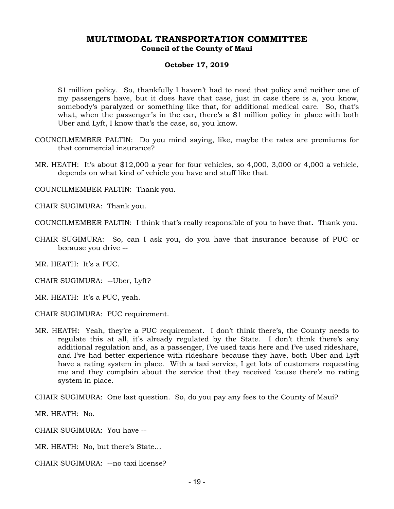# **Council of the County of Maui**

### **October 17, 2019**

\$1 million policy. So, thankfully I haven't had to need that policy and neither one of my passengers have, but it does have that case, just in case there is a, you know, somebody's paralyzed or something like that, for additional medical care. So, that's what, when the passenger's in the car, there's a \$1 million policy in place with both Uber and Lyft, I know that's the case, so, you know.

- COUNCILMEMBER PALTIN: Do you mind saying, like, maybe the rates are premiums for that commercial insurance?
- MR. HEATH: It's about \$12,000 a year for four vehicles, so 4,000, 3,000 or 4,000 a vehicle, depends on what kind of vehicle you have and stuff like that.

COUNCILMEMBER PALTIN: Thank you.

CHAIR SUGIMURA: Thank you.

COUNCILMEMBER PALTIN: I think that's really responsible of you to have that. Thank you.

CHAIR SUGIMURA: So, can I ask you, do you have that insurance because of PUC or because you drive --

MR. HEATH: It's a PUC.

CHAIR SUGIMURA: --Uber, Lyft?

MR. HEATH: It's a PUC, yeah.

CHAIR SUGIMURA: PUC requirement.

MR. HEATH: Yeah, they're a PUC requirement. I don't think there's, the County needs to regulate this at all, it's already regulated by the State. I don't think there's any additional regulation and, as a passenger, I've used taxis here and I've used rideshare, and I've had better experience with rideshare because they have, both Uber and Lyft have a rating system in place. With a taxi service, I get lots of customers requesting me and they complain about the service that they received 'cause there's no rating system in place.

CHAIR SUGIMURA: One last question. So, do you pay any fees to the County of Maui?

MR. HEATH: No.

CHAIR SUGIMURA: You have --

MR. HEATH: No, but there's State…

CHAIR SUGIMURA: --no taxi license?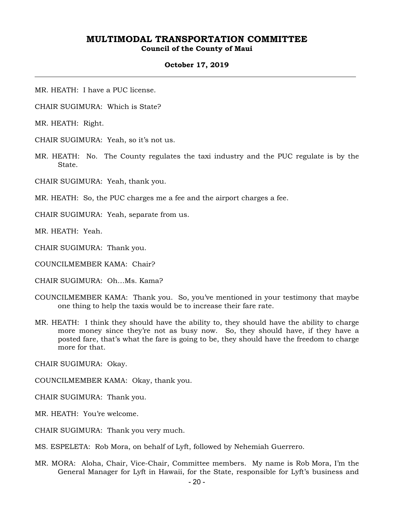**Council of the County of Maui** 

#### **October 17, 2019**

MR. HEATH: I have a PUC license.

CHAIR SUGIMURA: Which is State?

MR. HEATH: Right.

CHAIR SUGIMURA: Yeah, so it's not us.

MR. HEATH: No. The County regulates the taxi industry and the PUC regulate is by the State.

CHAIR SUGIMURA: Yeah, thank you.

MR. HEATH: So, the PUC charges me a fee and the airport charges a fee.

CHAIR SUGIMURA: Yeah, separate from us.

MR. HEATH: Yeah.

CHAIR SUGIMURA: Thank you.

COUNCILMEMBER KAMA: Chair?

CHAIR SUGIMURA: Oh…Ms. Kama?

- COUNCILMEMBER KAMA: Thank you. So, you've mentioned in your testimony that maybe one thing to help the taxis would be to increase their fare rate.
- MR. HEATH: I think they should have the ability to, they should have the ability to charge more money since they're not as busy now. So, they should have, if they have a posted fare, that's what the fare is going to be, they should have the freedom to charge more for that.

CHAIR SUGIMURA: Okay.

COUNCILMEMBER KAMA: Okay, thank you.

CHAIR SUGIMURA: Thank you.

MR. HEATH: You're welcome.

CHAIR SUGIMURA: Thank you very much.

MS. ESPELETA: Rob Mora, on behalf of Lyft, followed by Nehemiah Guerrero.

MR. MORA: Aloha, Chair, Vice-Chair, Committee members. My name is Rob Mora, I'm the General Manager for Lyft in Hawaii, for the State, responsible for Lyft's business and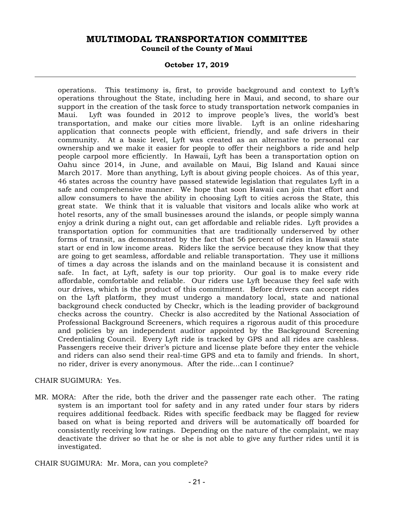### **October 17, 2019**

operations. This testimony is, first, to provide background and context to Lyft's operations throughout the State, including here in Maui, and second, to share our support in the creation of the task force to study transportation network companies in Maui. Lyft was founded in 2012 to improve people's lives, the world's best transportation, and make our cities more livable. Lyft is an online ridesharing application that connects people with efficient, friendly, and safe drivers in their community. At a basic level, Lyft was created as an alternative to personal car ownership and we make it easier for people to offer their neighbors a ride and help people carpool more efficiently. In Hawaii, Lyft has been a transportation option on Oahu since 2014, in June, and available on Maui, Big Island and Kauai since March 2017. More than anything, Lyft is about giving people choices. As of this year, 46 states across the country have passed statewide legislation that regulates Lyft in a safe and comprehensive manner. We hope that soon Hawaii can join that effort and allow consumers to have the ability in choosing Lyft to cities across the State, this great state. We think that it is valuable that visitors and locals alike who work at hotel resorts, any of the small businesses around the islands, or people simply wanna enjoy a drink during a night out, can get affordable and reliable rides. Lyft provides a transportation option for communities that are traditionally underserved by other forms of transit, as demonstrated by the fact that 56 percent of rides in Hawaii state start or end in low income areas. Riders like the service because they know that they are going to get seamless, affordable and reliable transportation. They use it millions of times a day across the islands and on the mainland because it is consistent and safe. In fact, at Lyft, safety is our top priority. Our goal is to make every ride affordable, comfortable and reliable. Our riders use Lyft because they feel safe with our drives, which is the product of this commitment. Before drivers can accept rides on the Lyft platform, they must undergo a mandatory local, state and national background check conducted by Checkr, which is the leading provider of background checks across the country. Checkr is also accredited by the National Association of Professional Background Screeners, which requires a rigorous audit of this procedure and policies by an independent auditor appointed by the Background Screening Credentialing Council. Every Lyft ride is tracked by GPS and all rides are cashless. Passengers receive their driver's picture and license plate before they enter the vehicle and riders can also send their real-time GPS and eta to family and friends. In short, no rider, driver is every anonymous. After the ride…can I continue?

### CHAIR SUGIMURA: Yes.

MR. MORA: After the ride, both the driver and the passenger rate each other. The rating system is an important tool for safety and in any rated under four stars by riders requires additional feedback. Rides with specific feedback may be flagged for review based on what is being reported and drivers will be automatically off boarded for consistently receiving low ratings. Depending on the nature of the complaint, we may deactivate the driver so that he or she is not able to give any further rides until it is investigated.

CHAIR SUGIMURA: Mr. Mora, can you complete?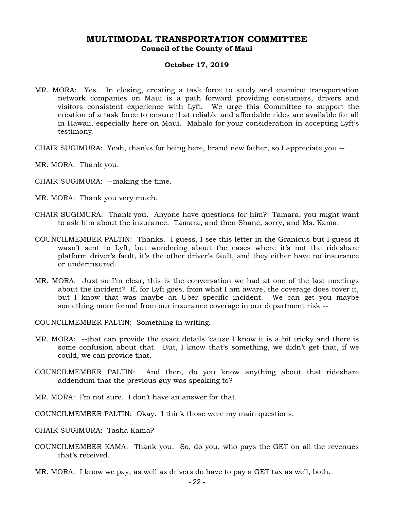# **October 17, 2019**

- MR. MORA: Yes. In closing, creating a task force to study and examine transportation network companies on Maui is a path forward providing consumers, drivers and visitors consistent experience with Lyft. We urge this Committee to support the creation of a task force to ensure that reliable and affordable rides are available for all in Hawaii, especially here on Maui. Mahalo for your consideration in accepting Lyft's testimony.
- CHAIR SUGIMURA: Yeah, thanks for being here, brand new father, so I appreciate you --
- MR. MORA: Thank you.
- CHAIR SUGIMURA: --making the time.
- MR. MORA: Thank you very much.
- CHAIR SUGIMURA: Thank you. Anyone have questions for him? Tamara, you might want to ask him about the insurance. Tamara, and then Shane, sorry, and Ms. Kama.
- COUNCILMEMBER PALTIN: Thanks. I guess, I see this letter in the Granicus but I guess it wasn't sent to Lyft, but wondering about the cases where it's not the rideshare platform driver's fault, it's the other driver's fault, and they either have no insurance or underinsured.
- MR. MORA: Just so I'm clear, this is the conversation we had at one of the last meetings about the incident? If, for Lyft goes, from what I am aware, the coverage does cover it, but I know that was maybe an Uber specific incident. We can get you maybe something more formal from our insurance coverage in our department risk --

COUNCILMEMBER PALTIN: Something in writing.

- MR. MORA: --that can provide the exact details 'cause I know it is a bit tricky and there is some confusion about that. But, I know that's something, we didn't get that, if we could, we can provide that.
- COUNCILMEMBER PALTIN: And then, do you know anything about that rideshare addendum that the previous guy was speaking to?
- MR. MORA: I'm not sure. I don't have an answer for that.
- COUNCILMEMBER PALTIN: Okay. I think those were my main questions.
- CHAIR SUGIMURA: Tasha Kama?
- COUNCILMEMBER KAMA: Thank you. So, do you, who pays the GET on all the revenues that's received.
- MR. MORA: I know we pay, as well as drivers do have to pay a GET tax as well, both.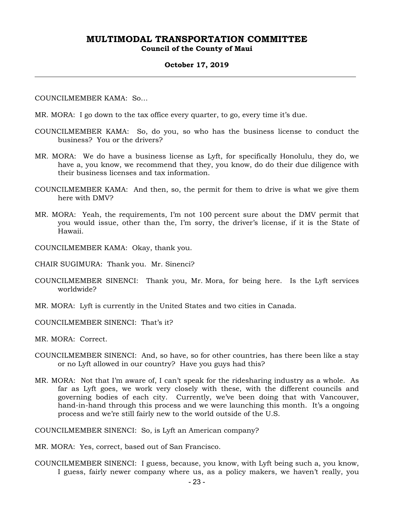#### **October 17, 2019**

#### COUNCILMEMBER KAMA: So…

- MR. MORA: I go down to the tax office every quarter, to go, every time it's due.
- COUNCILMEMBER KAMA: So, do you, so who has the business license to conduct the business? You or the drivers?
- MR. MORA: We do have a business license as Lyft, for specifically Honolulu, they do, we have a, you know, we recommend that they, you know, do do their due diligence with their business licenses and tax information.
- COUNCILMEMBER KAMA: And then, so, the permit for them to drive is what we give them here with DMV?
- MR. MORA: Yeah, the requirements, I'm not 100 percent sure about the DMV permit that you would issue, other than the, I'm sorry, the driver's license, if it is the State of Hawaii.
- COUNCILMEMBER KAMA: Okay, thank you.
- CHAIR SUGIMURA: Thank you. Mr. Sinenci?
- COUNCILMEMBER SINENCI: Thank you, Mr. Mora, for being here. Is the Lyft services worldwide?
- MR. MORA: Lyft is currently in the United States and two cities in Canada.
- COUNCILMEMBER SINENCI: That's it?
- MR. MORA: Correct.
- COUNCILMEMBER SINENCI: And, so have, so for other countries, has there been like a stay or no Lyft allowed in our country? Have you guys had this?
- MR. MORA: Not that I'm aware of, I can't speak for the ridesharing industry as a whole. As far as Lyft goes, we work very closely with these, with the different councils and governing bodies of each city. Currently, we've been doing that with Vancouver, hand-in-hand through this process and we were launching this month. It's a ongoing process and we're still fairly new to the world outside of the U.S.

COUNCILMEMBER SINENCI: So, is Lyft an American company?

MR. MORA: Yes, correct, based out of San Francisco.

COUNCILMEMBER SINENCI: I guess, because, you know, with Lyft being such a, you know, I guess, fairly newer company where us, as a policy makers, we haven't really, you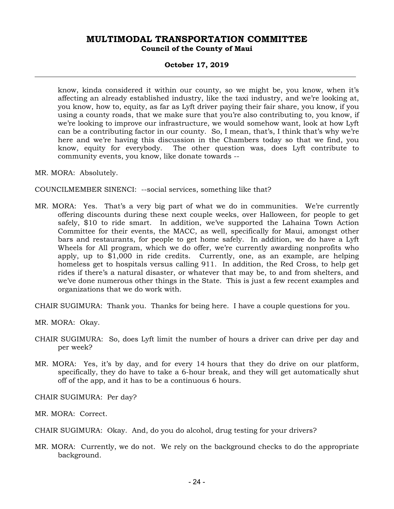**Council of the County of Maui** 

### **October 17, 2019**

know, kinda considered it within our county, so we might be, you know, when it's affecting an already established industry, like the taxi industry, and we're looking at, you know, how to, equity, as far as Lyft driver paying their fair share, you know, if you using a county roads, that we make sure that you're also contributing to, you know, if we're looking to improve our infrastructure, we would somehow want, look at how Lyft can be a contributing factor in our county. So, I mean, that's, I think that's why we're here and we're having this discussion in the Chambers today so that we find, you know, equity for everybody. The other question was, does Lyft contribute to community events, you know, like donate towards --

MR. MORA: Absolutely.

COUNCILMEMBER SINENCI: --social services, something like that?

MR. MORA: Yes. That's a very big part of what we do in communities. We're currently offering discounts during these next couple weeks, over Halloween, for people to get safely, \$10 to ride smart. In addition, we've supported the Lahaina Town Action Committee for their events, the MACC, as well, specifically for Maui, amongst other bars and restaurants, for people to get home safely. In addition, we do have a Lyft Wheels for All program, which we do offer, we're currently awarding nonprofits who apply, up to \$1,000 in ride credits. Currently, one, as an example, are helping homeless get to hospitals versus calling 911. In addition, the Red Cross, to help get rides if there's a natural disaster, or whatever that may be, to and from shelters, and we've done numerous other things in the State. This is just a few recent examples and organizations that we do work with.

CHAIR SUGIMURA: Thank you. Thanks for being here. I have a couple questions for you.

MR. MORA: Okay.

- CHAIR SUGIMURA: So, does Lyft limit the number of hours a driver can drive per day and per week?
- MR. MORA: Yes, it's by day, and for every 14 hours that they do drive on our platform, specifically, they do have to take a 6-hour break, and they will get automatically shut off of the app, and it has to be a continuous 6 hours.

CHAIR SUGIMURA: Per day?

MR. MORA: Correct.

CHAIR SUGIMURA: Okay. And, do you do alcohol, drug testing for your drivers?

MR. MORA: Currently, we do not. We rely on the background checks to do the appropriate background.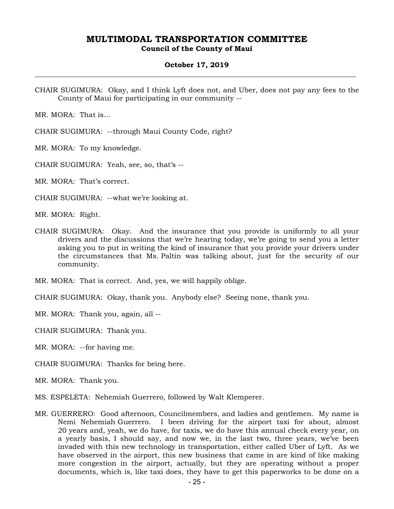**Council of the County of Maui** 

### **October 17, 2019**

CHAIR SUGIMURA: Okay, and I think Lyft does not, and Uber, does not pay any fees to the County of Maui for participating in our community --

MR. MORA: That is…

CHAIR SUGIMURA: --through Maui County Code, right?

MR. MORA: To my knowledge.

CHAIR SUGIMURA: Yeah, see, so, that's --

MR. MORA: That's correct.

CHAIR SUGIMURA: --what we're looking at.

MR. MORA: Right.

CHAIR SUGIMURA: Okay. And the insurance that you provide is uniformly to all your drivers and the discussions that we're hearing today, we're going to send you a letter asking you to put in writing the kind of insurance that you provide your drivers under the circumstances that Ms. Paltin was talking about, just for the security of our community.

MR. MORA: That is correct. And, yes, we will happily oblige.

CHAIR SUGIMURA: Okay, thank you. Anybody else? Seeing none, thank you.

MR. MORA: Thank you, again, all --

CHAIR SUGIMURA: Thank you.

MR. MORA: --for having me.

CHAIR SUGIMURA: Thanks for being here.

MR. MORA: Thank you.

- MS. ESPELETA: Nehemiah Guerrero, followed by Walt Klemperer.
- MR. GUERRERO: Good afternoon, Councilmembers, and ladies and gentlemen. My name is Nemi Nehemiah Guerrero. I been driving for the airport taxi for about, almost 20 years and, yeah, we do have, for taxis, we do have this annual check every year, on a yearly basis, I should say, and now we, in the last two, three years, we've been invaded with this new technology in transportation, either called Uber of Lyft. As we have observed in the airport, this new business that came in are kind of like making more congestion in the airport, actually, but they are operating without a proper documents, which is, like taxi does, they have to get this paperworks to be done on a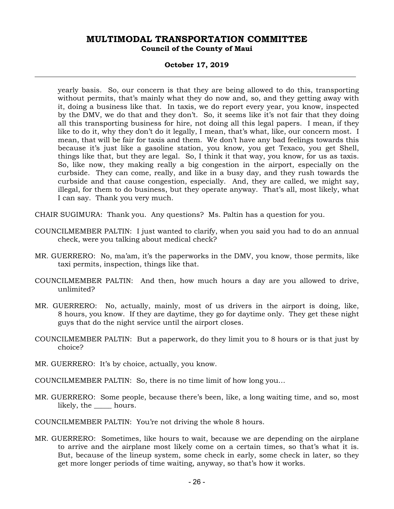### **October 17, 2019**

yearly basis. So, our concern is that they are being allowed to do this, transporting without permits, that's mainly what they do now and, so, and they getting away with it, doing a business like that. In taxis, we do report every year, you know, inspected by the DMV, we do that and they don't. So, it seems like it's not fair that they doing all this transporting business for hire, not doing all this legal papers. I mean, if they like to do it, why they don't do it legally, I mean, that's what, like, our concern most. I mean, that will be fair for taxis and them. We don't have any bad feelings towards this because it's just like a gasoline station, you know, you get Texaco, you get Shell, things like that, but they are legal. So, I think it that way, you know, for us as taxis. So, like now, they making really a big congestion in the airport, especially on the curbside. They can come, really, and like in a busy day, and they rush towards the curbside and that cause congestion, especially. And, they are called, we might say, illegal, for them to do business, but they operate anyway. That's all, most likely, what I can say. Thank you very much.

CHAIR SUGIMURA: Thank you. Any questions? Ms. Paltin has a question for you.

- COUNCILMEMBER PALTIN: I just wanted to clarify, when you said you had to do an annual check, were you talking about medical check?
- MR. GUERRERO: No, ma'am, it's the paperworks in the DMV, you know, those permits, like taxi permits, inspection, things like that.
- COUNCILMEMBER PALTIN: And then, how much hours a day are you allowed to drive, unlimited?
- MR. GUERRERO: No, actually, mainly, most of us drivers in the airport is doing, like, 8 hours, you know. If they are daytime, they go for daytime only. They get these night guys that do the night service until the airport closes.
- COUNCILMEMBER PALTIN: But a paperwork, do they limit you to 8 hours or is that just by choice?
- MR. GUERRERO: It's by choice, actually, you know.
- COUNCILMEMBER PALTIN: So, there is no time limit of how long you…
- MR. GUERRERO: Some people, because there's been, like, a long waiting time, and so, most likely, the \_\_\_\_\_ hours.
- COUNCILMEMBER PALTIN: You're not driving the whole 8 hours.
- MR. GUERRERO: Sometimes, like hours to wait, because we are depending on the airplane to arrive and the airplane most likely come on a certain times, so that's what it is. But, because of the lineup system, some check in early, some check in later, so they get more longer periods of time waiting, anyway, so that's how it works.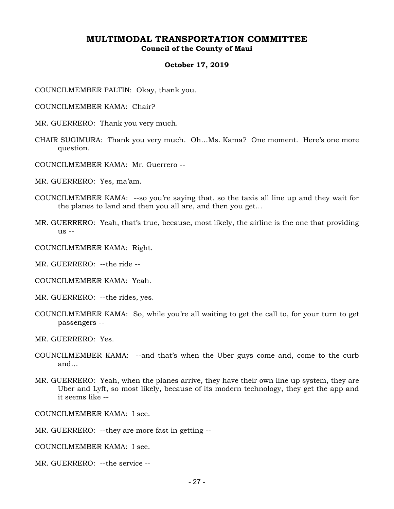**Council of the County of Maui** 

#### **October 17, 2019**

COUNCILMEMBER PALTIN: Okay, thank you.

- COUNCILMEMBER KAMA: Chair?
- MR. GUERRERO: Thank you very much.
- CHAIR SUGIMURA: Thank you very much. Oh…Ms. Kama? One moment. Here's one more question.
- COUNCILMEMBER KAMA: Mr. Guerrero --
- MR. GUERRERO: Yes, ma'am.
- COUNCILMEMBER KAMA: --so you're saying that. so the taxis all line up and they wait for the planes to land and then you all are, and then you get…
- MR. GUERRERO: Yeah, that's true, because, most likely, the airline is the one that providing us --
- COUNCILMEMBER KAMA: Right.
- MR. GUERRERO: --the ride --
- COUNCILMEMBER KAMA: Yeah.
- MR. GUERRERO: --the rides, yes.
- COUNCILMEMBER KAMA: So, while you're all waiting to get the call to, for your turn to get passengers --
- MR. GUERRERO: Yes.
- COUNCILMEMBER KAMA: --and that's when the Uber guys come and, come to the curb and…
- MR. GUERRERO: Yeah, when the planes arrive, they have their own line up system, they are Uber and Lyft, so most likely, because of its modern technology, they get the app and it seems like --

COUNCILMEMBER KAMA: I see.

- MR. GUERRERO: --they are more fast in getting --
- COUNCILMEMBER KAMA: I see.
- MR. GUERRERO: --the service --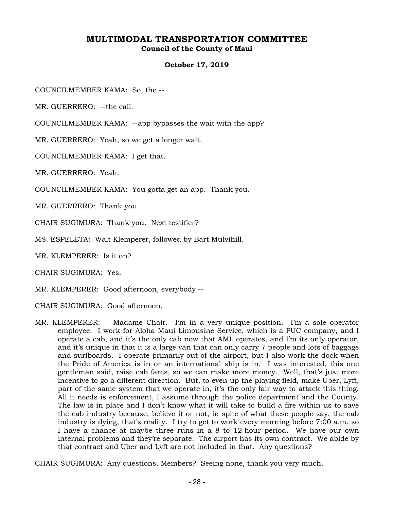**Council of the County of Maui** 

### **October 17, 2019**

COUNCILMEMBER KAMA: So, the --

MR. GUERRERO: --the call.

COUNCILMEMBER KAMA: --app bypasses the wait with the app?

MR. GUERRERO: Yeah, so we get a longer wait.

COUNCILMEMBER KAMA: I get that.

MR. GUERRERO: Yeah.

COUNCILMEMBER KAMA: You gotta get an app. Thank you.

MR. GUERRERO: Thank you.

CHAIR SUGIMURA: Thank you. Next testifier?

MS. ESPELETA: Walt Klemperer, followed by Bart Mulvihill.

MR. KLEMPERER: Is it on?

CHAIR SUGIMURA: Yes.

MR. KLEMPERER: Good afternoon, everybody --

CHAIR SUGIMURA: Good afternoon.

MR. KLEMPERER: --Madame Chair. I'm in a very unique position. I'm a sole operator employee. I work for Aloha Maui Limousine Service, which is a PUC company, and I operate a cab, and it's the only cab now that AML operates, and I'm its only operator, and it's unique in that it is a large van that can only carry 7 people and lots of baggage and surfboards. I operate primarily out of the airport, but I also work the dock when the Pride of America is in or an international ship is in. I was interested, this one gentleman said, raise cab fares, so we can make more money. Well, that's just more incentive to go a different direction. But, to even up the playing field, make Uber, Lyft, part of the same system that we operate in, it's the only fair way to attack this thing. All it needs is enforcement, I assume through the police department and the County. The law is in place and I don't know what it will take to build a fire within us to save the cab industry because, believe it or not, in spite of what these people say, the cab industry is dying, that's reality. I try to get to work every morning before 7:00 a.m. so I have a chance at maybe three runs in a 8 to 12 hour period. We have our own internal problems and they're separate. The airport has its own contract. We abide by that contract and Uber and Lyft are not included in that. Any questions?

CHAIR SUGIMURA: Any questions, Members? Seeing none, thank you very much.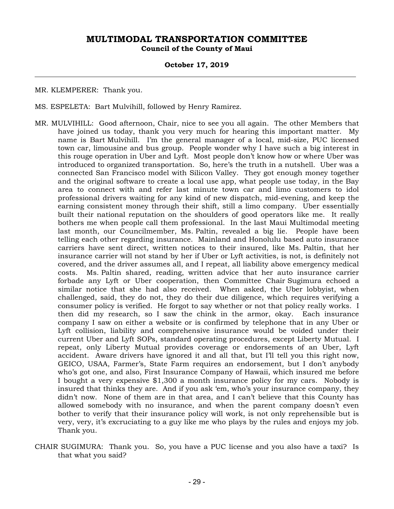### **October 17, 2019**

MR. KLEMPERER: Thank you.

- MS. ESPELETA: Bart Mulvihill, followed by Henry Ramirez.
- MR. MULVIHILL: Good afternoon, Chair, nice to see you all again. The other Members that have joined us today, thank you very much for hearing this important matter. My name is Bart Mulvihill. I'm the general manager of a local, mid-size, PUC licensed town car, limousine and bus group. People wonder why I have such a big interest in this rouge operation in Uber and Lyft. Most people don't know how or where Uber was introduced to organized transportation. So, here's the truth in a nutshell. Uber was a connected San Francisco model with Silicon Valley. They got enough money together and the original software to create a local use app, what people use today, in the Bay area to connect with and refer last minute town car and limo customers to idol professional drivers waiting for any kind of new dispatch, mid-evening, and keep the earning consistent money through their shift, still a limo company. Uber essentially built their national reputation on the shoulders of good operators like me. It really bothers me when people call them professional. In the last Maui Multimodal meeting last month, our Councilmember, Ms. Paltin, revealed a big lie. People have been telling each other regarding insurance. Mainland and Honolulu based auto insurance carriers have sent direct, written notices to their insured, like Ms. Paltin, that her insurance carrier will not stand by her if Uber or Lyft activities, is not, is definitely not covered, and the driver assumes all, and I repeat, all liability above emergency medical costs. Ms. Paltin shared, reading, written advice that her auto insurance carrier forbade any Lyft or Uber cooperation, then Committee Chair Sugimura echoed a similar notice that she had also received. When asked, the Uber lobbyist, when challenged, said, they do not, they do their due diligence, which requires verifying a consumer policy is verified. He forgot to say whether or not that policy really works. I then did my research, so I saw the chink in the armor, okay. Each insurance company I saw on either a website or is confirmed by telephone that in any Uber or Lyft collision, liability and comprehensive insurance would be voided under their current Uber and Lyft SOPs, standard operating procedures, except Liberty Mutual. I repeat, only Liberty Mutual provides coverage or endorsements of an Uber, Lyft accident. Aware drivers have ignored it and all that, but I'll tell you this right now, GEICO, USAA, Farmer's, State Farm requires an endorsement, but I don't anybody who's got one, and also, First Insurance Company of Hawaii, which insured me before I bought a very expensive \$1,300 a month insurance policy for my cars. Nobody is insured that thinks they are. And if you ask 'em, who's your insurance company, they didn't now. None of them are in that area, and I can't believe that this County has allowed somebody with no insurance, and when the parent company doesn't even bother to verify that their insurance policy will work, is not only reprehensible but is very, very, it's excruciating to a guy like me who plays by the rules and enjoys my job. Thank you.
- CHAIR SUGIMURA: Thank you. So, you have a PUC license and you also have a taxi? Is that what you said?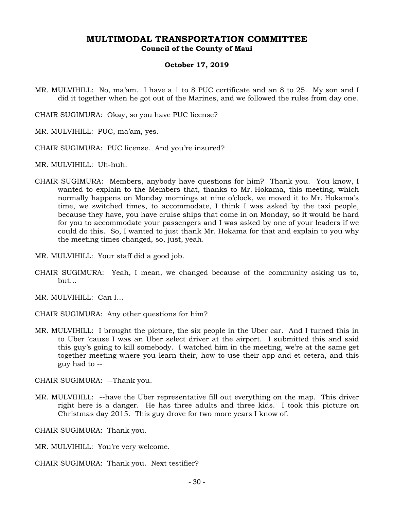**Council of the County of Maui** 

### **October 17, 2019**

MR. MULVIHILL: No, ma'am. I have a 1 to 8 PUC certificate and an 8 to 25. My son and I did it together when he got out of the Marines, and we followed the rules from day one.

CHAIR SUGIMURA: Okay, so you have PUC license?

- MR. MULVIHILL: PUC, ma'am, yes.
- CHAIR SUGIMURA: PUC license. And you're insured?
- MR. MULVIHILL: Uh-huh.
- CHAIR SUGIMURA: Members, anybody have questions for him? Thank you. You know, I wanted to explain to the Members that, thanks to Mr. Hokama, this meeting, which normally happens on Monday mornings at nine o'clock, we moved it to Mr. Hokama's time, we switched times, to accommodate, I think I was asked by the taxi people, because they have, you have cruise ships that come in on Monday, so it would be hard for you to accommodate your passengers and I was asked by one of your leaders if we could do this. So, I wanted to just thank Mr. Hokama for that and explain to you why the meeting times changed, so, just, yeah.
- MR. MULVIHILL: Your staff did a good job.
- CHAIR SUGIMURA: Yeah, I mean, we changed because of the community asking us to, but…
- MR. MULVIHILL: Can I…
- CHAIR SUGIMURA: Any other questions for him?
- MR. MULVIHILL: I brought the picture, the six people in the Uber car. And I turned this in to Uber 'cause I was an Uber select driver at the airport. I submitted this and said this guy's going to kill somebody. I watched him in the meeting, we're at the same get together meeting where you learn their, how to use their app and et cetera, and this guy had to --

CHAIR SUGIMURA: --Thank you.

MR. MULVIHILL: --have the Uber representative fill out everything on the map. This driver right here is a danger. He has three adults and three kids. I took this picture on Christmas day 2015. This guy drove for two more years I know of.

CHAIR SUGIMURA: Thank you.

- MR. MULVIHILL: You're very welcome.
- CHAIR SUGIMURA: Thank you. Next testifier?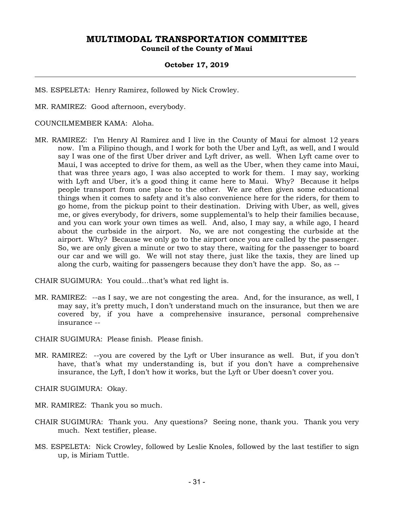### **October 17, 2019**

MS. ESPELETA: Henry Ramirez, followed by Nick Crowley.

MR. RAMIREZ: Good afternoon, everybody.

### COUNCILMEMBER KAMA: Aloha.

MR. RAMIREZ: I'm Henry Al Ramirez and I live in the County of Maui for almost 12 years now. I'm a Filipino though, and I work for both the Uber and Lyft, as well, and I would say I was one of the first Uber driver and Lyft driver, as well. When Lyft came over to Maui, I was accepted to drive for them, as well as the Uber, when they came into Maui, that was three years ago, I was also accepted to work for them. I may say, working with Lyft and Uber, it's a good thing it came here to Maui. Why? Because it helps people transport from one place to the other. We are often given some educational things when it comes to safety and it's also convenience here for the riders, for them to go home, from the pickup point to their destination. Driving with Uber, as well, gives me, or gives everybody, for drivers, some supplemental's to help their families because, and you can work your own times as well. And, also, I may say, a while ago, I heard about the curbside in the airport. No, we are not congesting the curbside at the airport. Why? Because we only go to the airport once you are called by the passenger. So, we are only given a minute or two to stay there, waiting for the passenger to board our car and we will go. We will not stay there, just like the taxis, they are lined up along the curb, waiting for passengers because they don't have the app. So, as --

CHAIR SUGIMURA: You could…that's what red light is.

MR. RAMIREZ: --as I say, we are not congesting the area. And, for the insurance, as well, I may say, it's pretty much, I don't understand much on the insurance, but then we are covered by, if you have a comprehensive insurance, personal comprehensive insurance --

CHAIR SUGIMURA: Please finish. Please finish.

MR. RAMIREZ: --you are covered by the Lyft or Uber insurance as well. But, if you don't have, that's what my understanding is, but if you don't have a comprehensive insurance, the Lyft, I don't how it works, but the Lyft or Uber doesn't cover you.

CHAIR SUGIMURA: Okay.

MR. RAMIREZ: Thank you so much.

- CHAIR SUGIMURA: Thank you. Any questions? Seeing none, thank you. Thank you very much. Next testifier, please.
- MS. ESPELETA: Nick Crowley, followed by Leslie Knoles, followed by the last testifier to sign up, is Miriam Tuttle.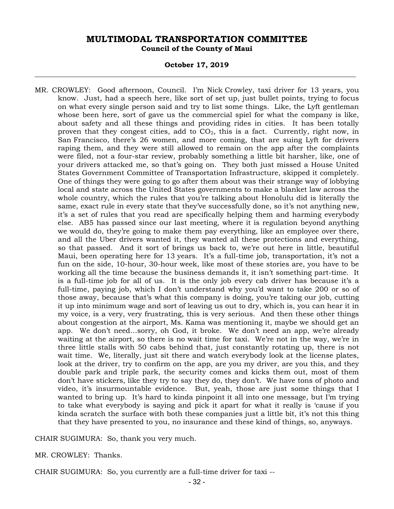### **October 17, 2019**

MR. CROWLEY: Good afternoon, Council. I'm Nick Crowley, taxi driver for 13 years, you know. Just, had a speech here, like sort of set up, just bullet points, trying to focus on what every single person said and try to list some things. Like, the Lyft gentleman whose been here, sort of gave us the commercial spiel for what the company is like, about safety and all these things and providing rides in cities. It has been totally proven that they congest cities, add to  $CO<sub>2</sub>$ , this is a fact. Currently, right now, in San Francisco, there's 26 women, and more coming, that are suing Lyft for drivers raping them, and they were still allowed to remain on the app after the complaints were filed, not a four-star review, probably something a little bit harsher, like, one of your drivers attacked me, so that's going on. They both just missed a House United States Government Committee of Transportation Infrastructure, skipped it completely. One of things they were going to go after them about was their strange way of lobbying local and state across the United States governments to make a blanket law across the whole country, which the rules that you're talking about Honolulu did is literally the same, exact rule in every state that they've successfully done, so it's not anything new, it's a set of rules that you read are specifically helping them and harming everybody else. AB5 has passed since our last meeting, where it is regulation beyond anything we would do, they're going to make them pay everything, like an employee over there, and all the Uber drivers wanted it, they wanted all these protections and everything, so that passed. And it sort of brings us back to, we're out here in little, beautiful Maui, been operating here for 13 years. It's a full-time job, transportation, it's not a fun on the side, 10-hour, 30-hour week, like most of these stories are, you have to be working all the time because the business demands it, it isn't something part-time. It is a full-time job for all of us. It is the only job every cab driver has because it's a full-time, paying job, which I don't understand why you'd want to take 200 or so of those away, because that's what this company is doing, you're taking our job, cutting it up into minimum wage and sort of leaving us out to dry, which is, you can hear it in my voice, is a very, very frustrating, this is very serious. And then these other things about congestion at the airport, Ms. Kama was mentioning it, maybe we should get an app. We don't need…sorry, oh God, it broke. We don't need an app, we're already waiting at the airport, so there is no wait time for taxi. We're not in the way, we're in three little stalls with 50 cabs behind that, just constantly rotating up, there is not wait time. We, literally, just sit there and watch everybody look at the license plates, look at the driver, try to confirm on the app, are you my driver, are you this, and they double park and triple park, the security comes and kicks them out, most of them don't have stickers, like they try to say they do, they don't. We have tons of photo and video, it's insurmountable evidence. But, yeah, those are just some things that I wanted to bring up. It's hard to kinda pinpoint it all into one message, but I'm trying to take what everybody is saying and pick it apart for what it really is 'cause if you kinda scratch the surface with both these companies just a little bit, it's not this thing that they have presented to you, no insurance and these kind of things, so, anyways.

CHAIR SUGIMURA: So, thank you very much.

MR. CROWLEY: Thanks.

CHAIR SUGIMURA: So, you currently are a full-time driver for taxi --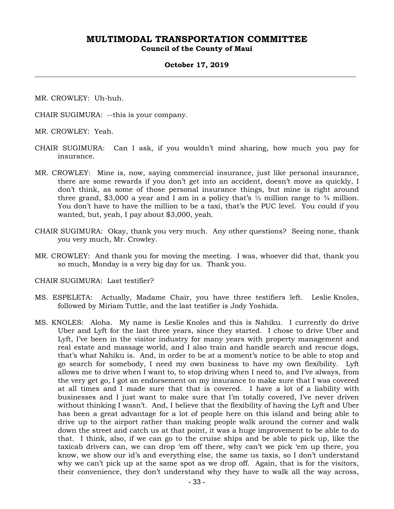**Council of the County of Maui** 

#### **October 17, 2019**

MR. CROWLEY: Uh-huh.

CHAIR SUGIMURA: --this is your company.

MR. CROWLEY: Yeah.

- CHAIR SUGIMURA: Can I ask, if you wouldn't mind sharing, how much you pay for insurance.
- MR. CROWLEY: Mine is, now, saying commercial insurance, just like personal insurance, there are some rewards if you don't get into an accident, doesn't move as quickly, I don't think, as some of those personal insurance things, but mine is right around three grand, \$3,000 a year and I am in a policy that's  $\frac{1}{2}$  million range to  $\frac{3}{4}$  million. You don't have to have the million to be a taxi, that's the PUC level. You could if you wanted, but, yeah, I pay about \$3,000, yeah.
- CHAIR SUGIMURA: Okay, thank you very much. Any other questions? Seeing none, thank you very much, Mr. Crowley.
- MR. CROWLEY: And thank you for moving the meeting. I was, whoever did that, thank you so much, Monday is a very big day for us. Thank you.

CHAIR SUGIMURA: Last testifier?

- MS. ESPELETA: Actually, Madame Chair, you have three testifiers left. Leslie Knoles, followed by Miriam Tuttle, and the last testifier is Jody Yoshida.
- MS. KNOLES: Aloha. My name is Leslie Knoles and this is Nahiku. I currently do drive Uber and Lyft for the last three years, since they started. I chose to drive Uber and Lyft, I've been in the visitor industry for many years with property management and real estate and massage world, and I also train and handle search and rescue dogs, that's what Nahiku is. And, in order to be at a moment's notice to be able to stop and go search for somebody, I need my own business to have my own flexibility. Lyft allows me to drive when I want to, to stop driving when I need to, and I've always, from the very get go, I got an endorsement on my insurance to make sure that I was covered at all times and I made sure that that is covered. I have a lot of a liability with businesses and I just want to make sure that I'm totally covered, I've never driven without thinking I wasn't. And, I believe that the flexibility of having the Lyft and Uber has been a great advantage for a lot of people here on this island and being able to drive up to the airport rather than making people walk around the corner and walk down the street and catch us at that point, it was a huge improvement to be able to do that. I think, also, if we can go to the cruise ships and be able to pick up, like the taxicab drivers can, we can drop 'em off there, why can't we pick 'em up there, you know, we show our id's and everything else, the same us taxis, so I don't understand why we can't pick up at the same spot as we drop off. Again, that is for the visitors, their convenience, they don't understand why they have to walk all the way across,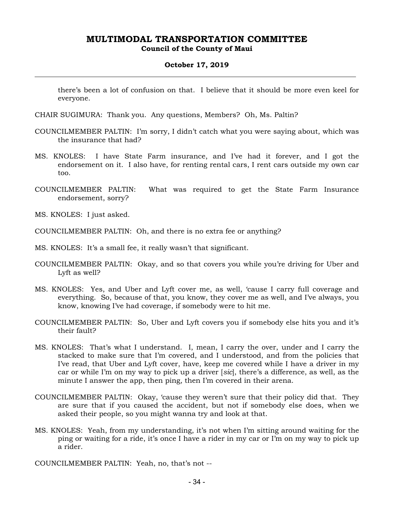### **October 17, 2019**

there's been a lot of confusion on that. I believe that it should be more even keel for everyone.

- CHAIR SUGIMURA: Thank you. Any questions, Members? Oh, Ms. Paltin?
- COUNCILMEMBER PALTIN: I'm sorry, I didn't catch what you were saying about, which was the insurance that had?
- MS. KNOLES: I have State Farm insurance, and I've had it forever, and I got the endorsement on it. I also have, for renting rental cars, I rent cars outside my own car too.
- COUNCILMEMBER PALTIN: What was required to get the State Farm Insurance endorsement, sorry?
- MS. KNOLES: I just asked.
- COUNCILMEMBER PALTIN: Oh, and there is no extra fee or anything?
- MS. KNOLES: It's a small fee, it really wasn't that significant.
- COUNCILMEMBER PALTIN: Okay, and so that covers you while you're driving for Uber and Lyft as well?
- MS. KNOLES: Yes, and Uber and Lyft cover me, as well, 'cause I carry full coverage and everything. So, because of that, you know, they cover me as well, and I've always, you know, knowing I've had coverage, if somebody were to hit me.
- COUNCILMEMBER PALTIN: So, Uber and Lyft covers you if somebody else hits you and it's their fault?
- MS. KNOLES: That's what I understand. I, mean, I carry the over, under and I carry the stacked to make sure that I'm covered, and I understood, and from the policies that I've read, that Uber and Lyft cover, have, keep me covered while I have a driver in my car or while I'm on my way to pick up a driver [*sic*], there's a difference, as well, as the minute I answer the app, then ping, then I'm covered in their arena.
- COUNCILMEMBER PALTIN: Okay, 'cause they weren't sure that their policy did that. They are sure that if you caused the accident, but not if somebody else does, when we asked their people, so you might wanna try and look at that.
- MS. KNOLES: Yeah, from my understanding, it's not when I'm sitting around waiting for the ping or waiting for a ride, it's once I have a rider in my car or I'm on my way to pick up a rider.
- COUNCILMEMBER PALTIN: Yeah, no, that's not --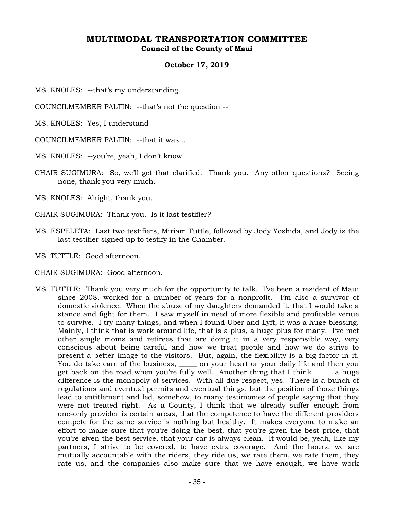**Council of the County of Maui** 

### **October 17, 2019**

MS. KNOLES: --that's my understanding.

COUNCILMEMBER PALTIN: --that's not the question --

MS. KNOLES: Yes, I understand --

COUNCILMEMBER PALTIN: --that it was…

MS. KNOLES: --you're, yeah, I don't know.

CHAIR SUGIMURA: So, we'll get that clarified. Thank you. Any other questions? Seeing none, thank you very much.

MS. KNOLES: Alright, thank you.

CHAIR SUGIMURA: Thank you. Is it last testifier?

MS. ESPELETA: Last two testifiers, Miriam Tuttle, followed by Jody Yoshida, and Jody is the last testifier signed up to testify in the Chamber.

MS. TUTTLE: Good afternoon.

CHAIR SUGIMURA: Good afternoon.

MS. TUTTLE: Thank you very much for the opportunity to talk. I've been a resident of Maui since 2008, worked for a number of years for a nonprofit. I'm also a survivor of domestic violence. When the abuse of my daughters demanded it, that I would take a stance and fight for them. I saw myself in need of more flexible and profitable venue to survive. I try many things, and when I found Uber and Lyft, it was a huge blessing. Mainly, I think that is work around life, that is a plus, a huge plus for many. I've met other single moms and retirees that are doing it in a very responsible way, very conscious about being careful and how we treat people and how we do strive to present a better image to the visitors. But, again, the flexibility is a big factor in it. You do take care of the business, solution your heart or your daily life and then you get back on the road when you're fully well. Another thing that I think a huge difference is the monopoly of services. With all due respect, yes. There is a bunch of regulations and eventual permits and eventual things, but the position of those things lead to entitlement and led, somehow, to many testimonies of people saying that they were not treated right. As a County, I think that we already suffer enough from one-only provider is certain areas, that the competence to have the different providers compete for the same service is nothing but healthy. It makes everyone to make an effort to make sure that you're doing the best, that you're given the best price, that you're given the best service, that your car is always clean. It would be, yeah, like my partners, I strive to be covered, to have extra coverage. And the hours, we are mutually accountable with the riders, they ride us, we rate them, we rate them, they rate us, and the companies also make sure that we have enough, we have work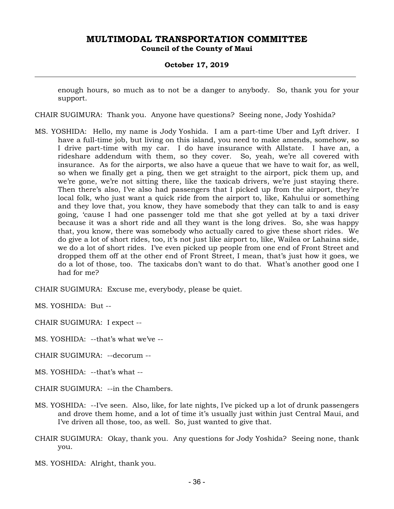### **October 17, 2019**

enough hours, so much as to not be a danger to anybody. So, thank you for your support.

CHAIR SUGIMURA: Thank you. Anyone have questions? Seeing none, Jody Yoshida?

MS. YOSHIDA: Hello, my name is Jody Yoshida. I am a part-time Uber and Lyft driver. I have a full-time job, but living on this island, you need to make amends, somehow, so I drive part-time with my car. I do have insurance with Allstate. I have an, a rideshare addendum with them, so they cover. So, yeah, we're all covered with insurance. As for the airports, we also have a queue that we have to wait for, as well, so when we finally get a ping, then we get straight to the airport, pick them up, and we're gone, we're not sitting there, like the taxicab drivers, we're just staying there. Then there's also, I've also had passengers that I picked up from the airport, they're local folk, who just want a quick ride from the airport to, like, Kahului or something and they love that, you know, they have somebody that they can talk to and is easy going, 'cause I had one passenger told me that she got yelled at by a taxi driver because it was a short ride and all they want is the long drives. So, she was happy that, you know, there was somebody who actually cared to give these short rides. We do give a lot of short rides, too, it's not just like airport to, like, Wailea or Lahaina side, we do a lot of short rides. I've even picked up people from one end of Front Street and dropped them off at the other end of Front Street, I mean, that's just how it goes, we do a lot of those, too. The taxicabs don't want to do that. What's another good one I had for me?

CHAIR SUGIMURA: Excuse me, everybody, please be quiet.

MS. YOSHIDA: But --

CHAIR SUGIMURA: I expect --

MS. YOSHIDA: --that's what we've --

CHAIR SUGIMURA: --decorum --

MS. YOSHIDA: --that's what --

CHAIR SUGIMURA: --in the Chambers.

- MS. YOSHIDA: --I've seen. Also, like, for late nights, I've picked up a lot of drunk passengers and drove them home, and a lot of time it's usually just within just Central Maui, and I've driven all those, too, as well. So, just wanted to give that.
- CHAIR SUGIMURA: Okay, thank you. Any questions for Jody Yoshida? Seeing none, thank you.
- MS. YOSHIDA: Alright, thank you.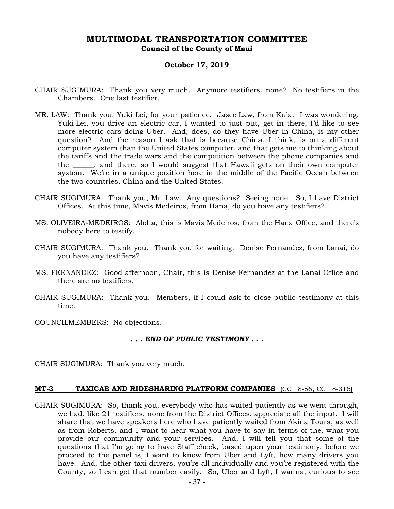### **October 17, 2019**

- CHAIR SUGIMURA: Thank you very much. Anymore testifiers, none? No testifiers in the Chambers. One last testifier.
- MR. LAW: Thank you, Yuki Lei, for your patience. Jasee Law, from Kula. I was wondering, Yuki Lei, you drive an electric car, I wanted to just put, get in there, I'd like to see more electric cars doing Uber. And, does, do they have Uber in China, is my other question? And the reason I ask that is because China, I think, is on a different computer system than the United States computer, and that gets me to thinking about the tariffs and the trade wars and the competition between the phone companies and the \_\_\_\_\_\_, and there, so I would suggest that Hawaii gets on their own computer system. We're in a unique position here in the middle of the Pacific Ocean between the two countries, China and the United States.
- CHAIR SUGIMURA: Thank you, Mr. Law. Any questions? Seeing none. So, I have District Offices. At this time, Mavis Medeiros, from Hana, do you have any testifiers?
- MS. OLIVEIRA-MEDEIROS: Aloha, this is Mavis Medeiros, from the Hana Office, and there's nobody here to testify.
- CHAIR SUGIMURA: Thank you. Thank you for waiting. Denise Fernandez, from Lanai, do you have any testifiers?
- MS. FERNANDEZ: Good afternoon, Chair, this is Denise Fernandez at the Lanai Office and there are no testifiers.
- CHAIR SUGIMURA: Thank you. Members, if I could ask to close public testimony at this time.

COUNCILMEMBERS: No objections.

### *. . . END OF PUBLIC TESTIMONY . . .*

CHAIR SUGIMURA: Thank you very much.

### **MT-3 TAXICAB AND RIDESHARING PLATFORM COMPANIES** (CC 18-56, CC 18-316)

CHAIR SUGIMURA: So, thank you, everybody who has waited patiently as we went through, we had, like 21 testifiers, none from the District Offices, appreciate all the input. I will share that we have speakers here who have patiently waited from Akina Tours, as well as from Roberts, and I want to hear what you have to say in terms of the, what you provide our community and your services. And, I will tell you that some of the questions that I'm going to have Staff check, based upon your testimony, before we proceed to the panel is, I want to know from Uber and Lyft, how many drivers you have. And, the other taxi drivers, you're all individually and you're registered with the County, so I can get that number easily. So, Uber and Lyft, I wanna, curious to see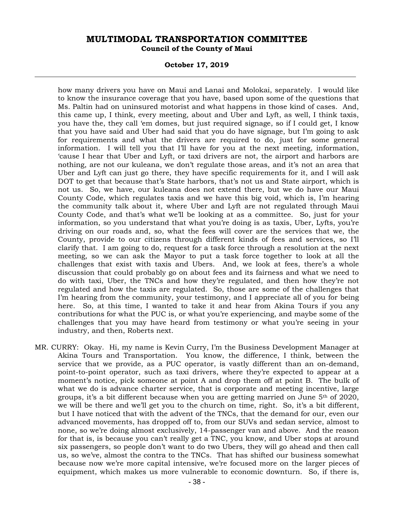### **October 17, 2019**

how many drivers you have on Maui and Lanai and Molokai, separately. I would like to know the insurance coverage that you have, based upon some of the questions that Ms. Paltin had on uninsured motorist and what happens in those kind of cases. And, this came up, I think, every meeting, about and Uber and Lyft, as well, I think taxis, you have the, they call 'em domes, but just required signage, so if I could get, I know that you have said and Uber had said that you do have signage, but I'm going to ask for requirements and what the drivers are required to do, just for some general information. I will tell you that I'll have for you at the next meeting, information, 'cause I hear that Uber and Lyft, or taxi drivers are not, the airport and harbors are nothing, are not our kuleana, we don't regulate those areas, and it's not an area that Uber and Lyft can just go there, they have specific requirements for it, and I will ask DOT to get that because that's State harbors, that's not us and State airport, which is not us. So, we have, our kuleana does not extend there, but we do have our Maui County Code, which regulates taxis and we have this big void, which is, I'm hearing the community talk about it, where Uber and Lyft are not regulated through Maui County Code, and that's what we'll be looking at as a committee. So, just for your information, so you understand that what you're doing is as taxis, Uber, Lyfts, you're driving on our roads and, so, what the fees will cover are the services that we, the County, provide to our citizens through different kinds of fees and services, so I'll clarify that. I am going to do, request for a task force through a resolution at the next meeting, so we can ask the Mayor to put a task force together to look at all the challenges that exist with taxis and Ubers. And, we look at fees, there's a whole discussion that could probably go on about fees and its fairness and what we need to do with taxi, Uber, the TNCs and how they're regulated, and then how they're not regulated and how the taxis are regulated. So, those are some of the challenges that I'm hearing from the community, your testimony, and I appreciate all of you for being here. So, at this time, I wanted to take it and hear from Akina Tours if you any contributions for what the PUC is, or what you're experiencing, and maybe some of the challenges that you may have heard from testimony or what you're seeing in your industry, and then, Roberts next.

MR. CURRY: Okay. Hi, my name is Kevin Curry, I'm the Business Development Manager at Akina Tours and Transportation. You know, the difference, I think, between the service that we provide, as a PUC operator, is vastly different than an on-demand, point-to-point operator, such as taxi drivers, where they're expected to appear at a moment's notice, pick someone at point A and drop them off at point B. The bulk of what we do is advance charter service, that is corporate and meeting incentive, large groups, it's a bit different because when you are getting married on June  $5<sup>th</sup>$  of 2020, we will be there and we'll get you to the church on time, right. So, it's a bit different, but I have noticed that with the advent of the TNCs, that the demand for our, even our advanced movements, has dropped off to, from our SUVs and sedan service, almost to none, so we're doing almost exclusively, 14-passenger van and above. And the reason for that is, is because you can't really get a TNC, you know, and Uber stops at around six passengers, so people don't want to do two Ubers, they will go ahead and then call us, so we've, almost the contra to the TNCs. That has shifted our business somewhat because now we're more capital intensive, we're focused more on the larger pieces of equipment, which makes us more vulnerable to economic downturn. So, if there is,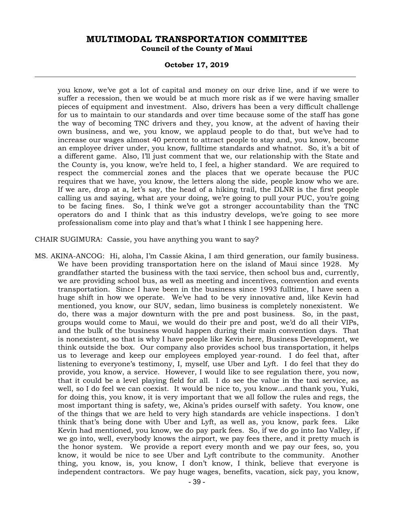### **October 17, 2019**

you know, we've got a lot of capital and money on our drive line, and if we were to suffer a recession, then we would be at much more risk as if we were having smaller pieces of equipment and investment. Also, drivers has been a very difficult challenge for us to maintain to our standards and over time because some of the staff has gone the way of becoming TNC drivers and they, you know, at the advent of having their own business, and we, you know, we applaud people to do that, but we've had to increase our wages almost 40 percent to attract people to stay and, you know, become an employee driver under, you know, fulltime standards and whatnot. So, it's a bit of a different game. Also, I'll just comment that we, our relationship with the State and the County is, you know, we're held to, I feel, a higher standard. We are required to respect the commercial zones and the places that we operate because the PUC requires that we have, you know, the letters along the side, people know who we are. If we are, drop at a, let's say, the head of a hiking trail, the DLNR is the first people calling us and saying, what are your doing, we're going to pull your PUC, you're going to be facing fines. So, I think we've got a stronger accountability than the TNC operators do and I think that as this industry develops, we're going to see more professionalism come into play and that's what I think I see happening here.

CHAIR SUGIMURA: Cassie, you have anything you want to say?

MS. AKINA-ANCOG: Hi, aloha, I'm Cassie Akina, I am third generation, our family business. We have been providing transportation here on the island of Maui since 1928. My grandfather started the business with the taxi service, then school bus and, currently, we are providing school bus, as well as meeting and incentives, convention and events transportation. Since I have been in the business since 1993 fulltime, I have seen a huge shift in how we operate. We've had to be very innovative and, like Kevin had mentioned, you know, our SUV, sedan, limo business is completely nonexistent. We do, there was a major downturn with the pre and post business. So, in the past, groups would come to Maui, we would do their pre and post, we'd do all their VIPs, and the bulk of the business would happen during their main convention days. That is nonexistent, so that is why I have people like Kevin here, Business Development, we think outside the box. Our company also provides school bus transportation, it helps us to leverage and keep our employees employed year-round. I do feel that, after listening to everyone's testimony, I, myself, use Uber and Lyft. I do feel that they do provide, you know, a service. However, I would like to see regulation there, you now, that it could be a level playing field for all. I do see the value in the taxi service, as well, so I do feel we can coexist. It would be nice to, you know…and thank you, Yuki, for doing this, you know, it is very important that we all follow the rules and regs, the most important thing is safety, we, Akina's prides ourself with safety. You know, one of the things that we are held to very high standards are vehicle inspections. I don't think that's being done with Uber and Lyft, as well as, you know, park fees. Like Kevin had mentioned, you know, we do pay park fees. So, if we do go into Iao Valley, if we go into, well, everybody knows the airport, we pay fees there, and it pretty much is the honor system. We provide a report every month and we pay our fees, so, you know, it would be nice to see Uber and Lyft contribute to the community. Another thing, you know, is, you know, I don't know, I think, believe that everyone is independent contractors. We pay huge wages, benefits, vacation, sick pay, you know,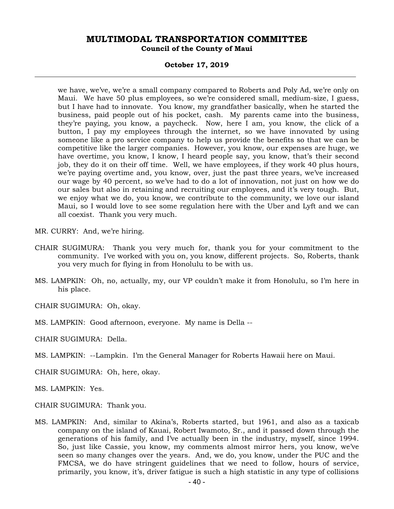### **October 17, 2019**

we have, we've, we're a small company compared to Roberts and Poly Ad, we're only on Maui. We have 50 plus employees, so we're considered small, medium-size, I guess, but I have had to innovate. You know, my grandfather basically, when he started the business, paid people out of his pocket, cash. My parents came into the business, they're paying, you know, a paycheck. Now, here I am, you know, the click of a button, I pay my employees through the internet, so we have innovated by using someone like a pro service company to help us provide the benefits so that we can be competitive like the larger companies. However, you know, our expenses are huge, we have overtime, you know, I know, I heard people say, you know, that's their second job, they do it on their off time. Well, we have employees, if they work 40 plus hours, we're paying overtime and, you know, over, just the past three years, we've increased our wage by 40 percent, so we've had to do a lot of innovation, not just on how we do our sales but also in retaining and recruiting our employees, and it's very tough. But, we enjoy what we do, you know, we contribute to the community, we love our island Maui, so I would love to see some regulation here with the Uber and Lyft and we can all coexist. Thank you very much.

MR. CURRY: And, we're hiring.

- CHAIR SUGIMURA: Thank you very much for, thank you for your commitment to the community. I've worked with you on, you know, different projects. So, Roberts, thank you very much for flying in from Honolulu to be with us.
- MS. LAMPKIN: Oh, no, actually, my, our VP couldn't make it from Honolulu, so I'm here in his place.

CHAIR SUGIMURA: Oh, okay.

MS. LAMPKIN: Good afternoon, everyone. My name is Della --

CHAIR SUGIMURA: Della.

MS. LAMPKIN: --Lampkin. I'm the General Manager for Roberts Hawaii here on Maui.

CHAIR SUGIMURA: Oh, here, okay.

MS. LAMPKIN: Yes.

CHAIR SUGIMURA: Thank you.

MS. LAMPKIN: And, similar to Akina's, Roberts started, but 1961, and also as a taxicab company on the island of Kauai, Robert Iwamoto, Sr., and it passed down through the generations of his family, and I've actually been in the industry, myself, since 1994. So, just like Cassie, you know, my comments almost mirror hers, you know, we've seen so many changes over the years. And, we do, you know, under the PUC and the FMCSA, we do have stringent guidelines that we need to follow, hours of service, primarily, you know, it's, driver fatigue is such a high statistic in any type of collisions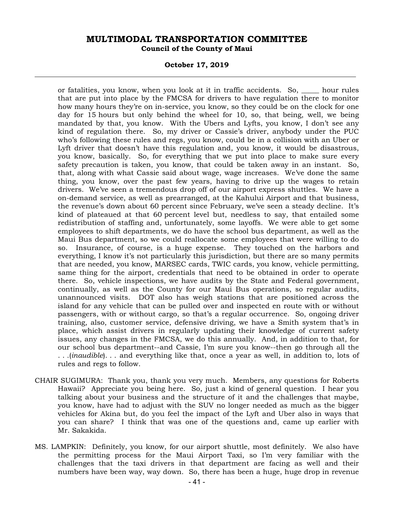### **October 17, 2019**

or fatalities, you know, when you look at it in traffic accidents. So, hour rules that are put into place by the FMCSA for drivers to have regulation there to monitor how many hours they're on in-service, you know, so they could be on the clock for one day for 15 hours but only behind the wheel for 10, so, that being, well, we being mandated by that, you know. With the Ubers and Lyfts, you know, I don't see any kind of regulation there. So, my driver or Cassie's driver, anybody under the PUC who's following these rules and regs, you know, could be in a collision with an Uber or Lyft driver that doesn't have this regulation and, you know, it would be disastrous, you know, basically. So, for everything that we put into place to make sure every safety precaution is taken, you know, that could be taken away in an instant. So, that, along with what Cassie said about wage, wage increases. We've done the same thing, you know, over the past few years, having to drive up the wages to retain drivers. We've seen a tremendous drop off of our airport express shuttles. We have a on-demand service, as well as prearranged, at the Kahului Airport and that business, the revenue's down about 60 percent since February, we've seen a steady decline. It's kind of plateaued at that 60 percent level but, needless to say, that entailed some redistribution of staffing and, unfortunately, some layoffs. We were able to get some employees to shift departments, we do have the school bus department, as well as the Maui Bus department, so we could reallocate some employees that were willing to do so. Insurance, of course, is a huge expense. They touched on the harbors and everything, I know it's not particularly this jurisdiction, but there are so many permits that are needed, you know, MARSEC cards, TWIC cards, you know, vehicle permitting, same thing for the airport, credentials that need to be obtained in order to operate there. So, vehicle inspections, we have audits by the State and Federal government, continually, as well as the County for our Maui Bus operations, so regular audits, unannounced visits. DOT also has weigh stations that are positioned across the island for any vehicle that can be pulled over and inspected en route with or without passengers, with or without cargo, so that's a regular occurrence. So, ongoing driver training, also, customer service, defensive driving, we have a Smith system that's in place, which assist drivers in regularly updating their knowledge of current safety issues, any changes in the FMCSA, we do this annually. And, in addition to that, for our school bus department--and Cassie, I'm sure you know--then go through all the . . .(*inaudible*). . . and everything like that, once a year as well, in addition to, lots of rules and regs to follow.

- CHAIR SUGIMURA: Thank you, thank you very much. Members, any questions for Roberts Hawaii? Appreciate you being here. So, just a kind of general question. I hear you talking about your business and the structure of it and the challenges that maybe, you know, have had to adjust with the SUV no longer needed as much as the bigger vehicles for Akina but, do you feel the impact of the Lyft and Uber also in ways that you can share? I think that was one of the questions and, came up earlier with Mr. Sakakida.
- MS. LAMPKIN: Definitely, you know, for our airport shuttle, most definitely. We also have the permitting process for the Maui Airport Taxi, so I'm very familiar with the challenges that the taxi drivers in that department are facing as well and their numbers have been way, way down. So, there has been a huge, huge drop in revenue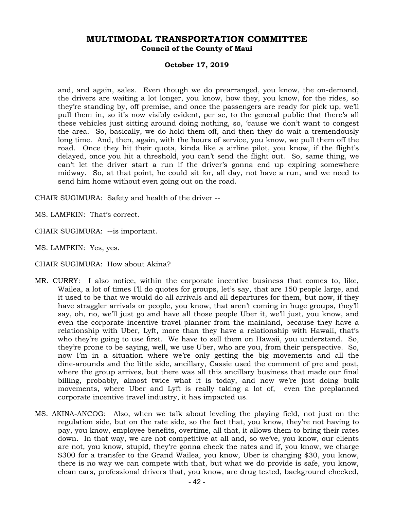### **October 17, 2019**

and, and again, sales. Even though we do prearranged, you know, the on-demand, the drivers are waiting a lot longer, you know, how they, you know, for the rides, so they're standing by, off premise, and once the passengers are ready for pick up, we'll pull them in, so it's now visibly evident, per se, to the general public that there's all these vehicles just sitting around doing nothing, so, 'cause we don't want to congest the area. So, basically, we do hold them off, and then they do wait a tremendously long time. And, then, again, with the hours of service, you know, we pull them off the road. Once they hit their quota, kinda like a airline pilot, you know, if the flight's delayed, once you hit a threshold, you can't send the flight out. So, same thing, we can't let the driver start a run if the driver's gonna end up expiring somewhere midway. So, at that point, he could sit for, all day, not have a run, and we need to send him home without even going out on the road.

CHAIR SUGIMURA: Safety and health of the driver --

MS. LAMPKIN: That's correct.

CHAIR SUGIMURA: --is important.

MS. LAMPKIN: Yes, yes.

CHAIR SUGIMURA: How about Akina?

- MR. CURRY: I also notice, within the corporate incentive business that comes to, like, Wailea, a lot of times I'll do quotes for groups, let's say, that are 150 people large, and it used to be that we would do all arrivals and all departures for them, but now, if they have straggler arrivals or people, you know, that aren't coming in huge groups, they'll say, oh, no, we'll just go and have all those people Uber it, we'll just, you know, and even the corporate incentive travel planner from the mainland, because they have a relationship with Uber, Lyft, more than they have a relationship with Hawaii, that's who they're going to use first. We have to sell them on Hawaii, you understand. So, they're prone to be saying, well, we use Uber, who are you, from their perspective. So, now I'm in a situation where we're only getting the big movements and all the dine-arounds and the little side, ancillary, Cassie used the comment of pre and post, where the group arrives, but there was all this ancillary business that made our final billing, probably, almost twice what it is today, and now we're just doing bulk movements, where Uber and Lyft is really taking a lot of, even the preplanned corporate incentive travel industry, it has impacted us.
- MS. AKINA-ANCOG: Also, when we talk about leveling the playing field, not just on the regulation side, but on the rate side, so the fact that, you know, they're not having to pay, you know, employee benefits, overtime, all that, it allows them to bring their rates down. In that way, we are not competitive at all and, so we've, you know, our clients are not, you know, stupid, they're gonna check the rates and if, you know, we charge \$300 for a transfer to the Grand Wailea, you know, Uber is charging \$30, you know, there is no way we can compete with that, but what we do provide is safe, you know, clean cars, professional drivers that, you know, are drug tested, background checked,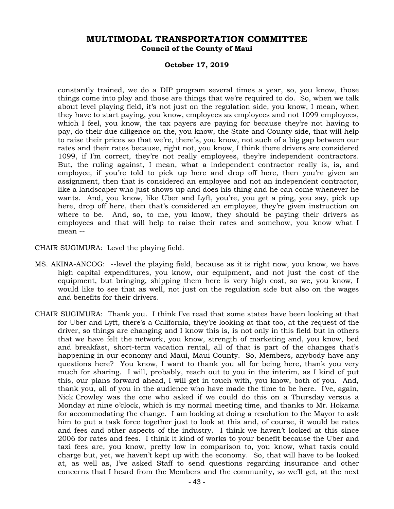### **October 17, 2019**

constantly trained, we do a DIP program several times a year, so, you know, those things come into play and those are things that we're required to do. So, when we talk about level playing field, it's not just on the regulation side, you know, I mean, when they have to start paying, you know, employees as employees and not 1099 employees, which I feel, you know, the tax payers are paying for because they're not having to pay, do their due diligence on the, you know, the State and County side, that will help to raise their prices so that we're, there's, you know, not such of a big gap between our rates and their rates because, right not, you know, I think there drivers are considered 1099, if I'm correct, they're not really employees, they're independent contractors. But, the ruling against, I mean, what a independent contractor really is, is, and employee, if you're told to pick up here and drop off here, then you're given an assignment, then that is considered an employee and not an independent contractor, like a landscaper who just shows up and does his thing and he can come whenever he wants. And, you know, like Uber and Lyft, you're, you get a ping, you say, pick up here, drop off here, then that's considered an employee, they're given instruction on where to be. And, so, to me, you know, they should be paying their drivers as employees and that will help to raise their rates and somehow, you know what I mean --

CHAIR SUGIMURA: Level the playing field.

- MS. AKINA-ANCOG: --level the playing field, because as it is right now, you know, we have high capital expenditures, you know, our equipment, and not just the cost of the equipment, but bringing, shipping them here is very high cost, so we, you know, I would like to see that as well, not just on the regulation side but also on the wages and benefits for their drivers.
- CHAIR SUGIMURA: Thank you. I think I've read that some states have been looking at that for Uber and Lyft, there's a California, they're looking at that too, at the request of the driver, so things are changing and I know this is, is not only in this field but in others that we have felt the network, you know, strength of marketing and, you know, bed and breakfast, short-term vacation rental, all of that is part of the changes that's happening in our economy and Maui, Maui County. So, Members, anybody have any questions here? You know, I want to thank you all for being here, thank you very much for sharing. I will, probably, reach out to you in the interim, as I kind of put this, our plans forward ahead, I will get in touch with, you know, both of you. And, thank you, all of you in the audience who have made the time to be here. I've, again, Nick Crowley was the one who asked if we could do this on a Thursday versus a Monday at nine o'clock, which is my normal meeting time, and thanks to Mr. Hokama for accommodating the change. I am looking at doing a resolution to the Mayor to ask him to put a task force together just to look at this and, of course, it would be rates and fees and other aspects of the industry. I think we haven't looked at this since 2006 for rates and fees. I think it kind of works to your benefit because the Uber and taxi fees are, you know, pretty low in comparison to, you know, what taxis could charge but, yet, we haven't kept up with the economy. So, that will have to be looked at, as well as, I've asked Staff to send questions regarding insurance and other concerns that I heard from the Members and the community, so we'll get, at the next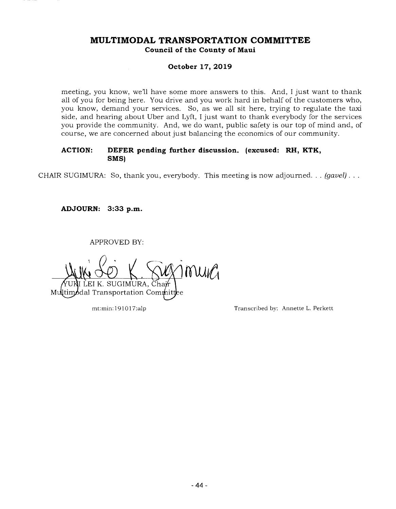## **October 17, 2019**

meeting, you know, we'll have some more answers to this. And, I just want to thank all of you for being here. You drive and you work hard in behalf of the customers who, you know, demand your services. So, as we all sit here, trying to regulate the taxi side, and hearing about Uber and Lyft, I just want to thank everybody for the services you provide the community. And, we do want, public safety is our top of mind and, of course, we are concerned about just balancing the economics of our community.

# **ACTION: DEFER pending further discussion. (excused: RH, KTK, SMS)**

CHAIR SUGIMURA: So, thank you, everybody. This meeting is now adjourned. . . (gavel)...

**ADJOURN: 3:33 p.m.** 

APPROVED BY:

MUIG K. SUGIMURA, Cha Multimodal Transportation Commit

mt:min: 19101 7:alp Transcribed by: Annette L. Perkett